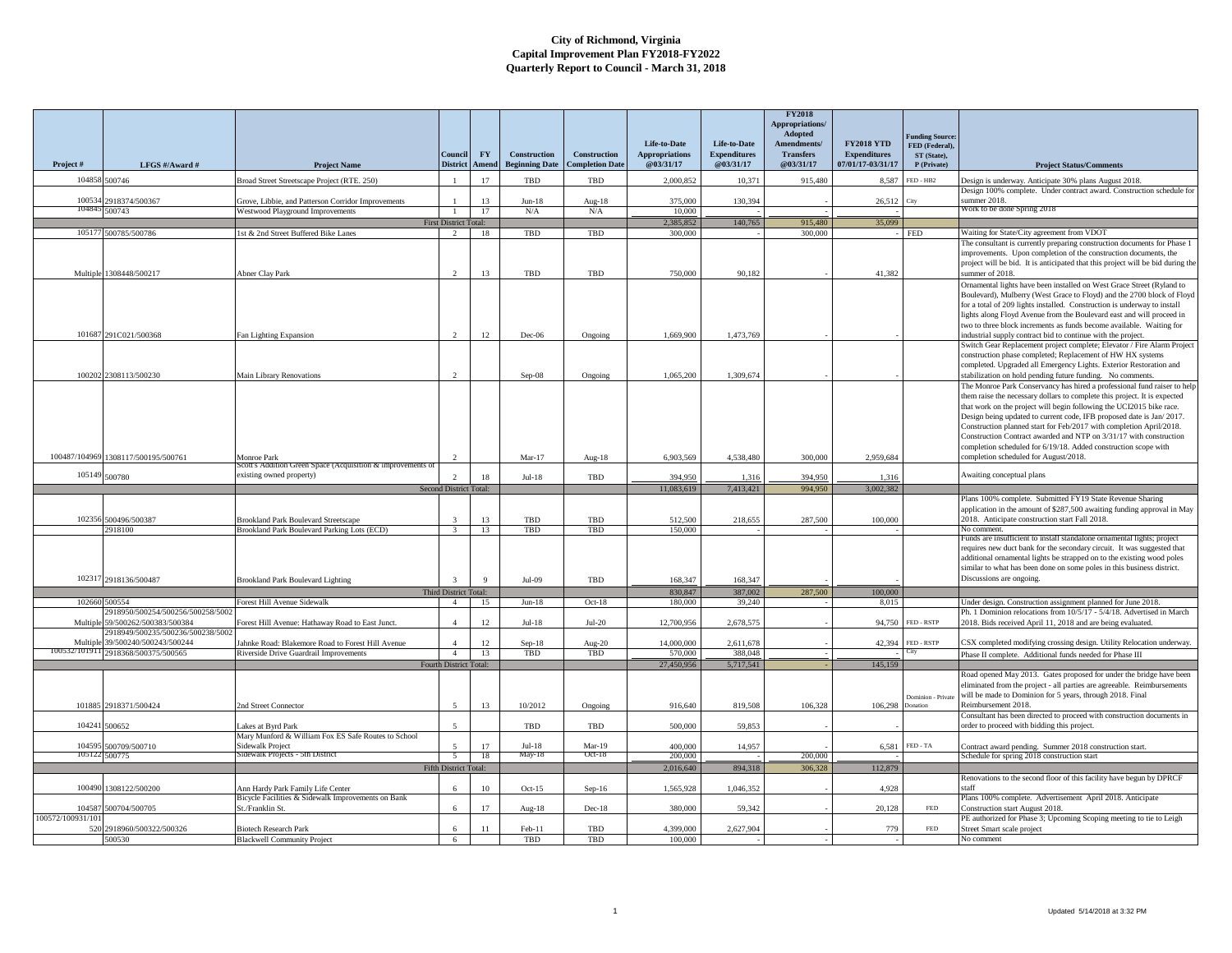|                 |                                                              |                                                                                     |                              |                    |                                              |                                               |                                                    |                                                  | <b>FY2018</b><br><b>Appropriations/</b><br>Adopted |                                                               | <b>Funding Source:</b>                       |                                                                                                                                                                                                                                                    |
|-----------------|--------------------------------------------------------------|-------------------------------------------------------------------------------------|------------------------------|--------------------|----------------------------------------------|-----------------------------------------------|----------------------------------------------------|--------------------------------------------------|----------------------------------------------------|---------------------------------------------------------------|----------------------------------------------|----------------------------------------------------------------------------------------------------------------------------------------------------------------------------------------------------------------------------------------------------|
| Project#        | LFGS #/Award #                                               | <b>Project Name</b>                                                                 | Conneil<br><b>District</b>   | <b>FY</b><br>Amend | <b>Construction</b><br><b>Beginning Date</b> | <b>Construction</b><br><b>Completion Date</b> | Life-to-Date<br><b>Appropriations</b><br>@03/31/17 | Life-to-Date<br><b>Expenditures</b><br>@03/31/17 | Amendments/<br><b>Transfers</b><br>@03/31/17       | <b>FY2018 YTD</b><br><b>Expenditures</b><br>07/01/17-03/31/17 | FED (Federal),<br>ST (State).<br>P (Private) | <b>Project Status/Comments</b>                                                                                                                                                                                                                     |
|                 | 104858 500746                                                | Broad Street Streetscape Project (RTE. 250)                                         |                              | 17                 | <b>TBD</b>                                   | TBD                                           | 2,000,852                                          | 10,371                                           | 915,480                                            | 8.587                                                         | FED - HB2                                    | Design is underway. Anticipate 30% plans August 2018.                                                                                                                                                                                              |
| 100534          | 2918374/500367                                               | Grove, Libbie, and Patterson Corridor Improvements                                  |                              | 13                 | $Jun-18$                                     | Aug-18                                        | 375,000                                            | 130,394                                          |                                                    | 26,512                                                        | City                                         | Design 100% complete. Under contract award. Construction schedule for<br>summer 2018                                                                                                                                                               |
| 10484           | 500743                                                       | Westwood Playground Improvements                                                    |                              | 17                 | N/A                                          | N/A                                           | 10,000                                             |                                                  |                                                    |                                                               |                                              | Work to be done Spring 2018                                                                                                                                                                                                                        |
|                 |                                                              |                                                                                     | <b>First District Total:</b> |                    |                                              |                                               | 2.385.852                                          | 140,765                                          | 915,480                                            | 35,099                                                        |                                              |                                                                                                                                                                                                                                                    |
|                 | 105177 500785/500786                                         | 1st & 2nd Street Buffered Bike Lanes                                                | $2^{\circ}$                  | 18                 | TBD                                          | TBD                                           | 300,000                                            |                                                  | 300,000                                            |                                                               | <b>FED</b>                                   | Waiting for State/City agreement from VDOT                                                                                                                                                                                                         |
|                 | Multiple 1308448/500217                                      | <b>Abner Clay Park</b>                                                              | $\overline{2}$               | 13                 | TBD                                          | TBD                                           | 750,000                                            | 90.182                                           |                                                    | 41.382                                                        |                                              | The consultant is currently preparing construction documents for Phase 1<br>improvements. Upon completion of the construction documents, the<br>project will be bid. It is anticipated that this project will be bid during the<br>summer of 2018. |
|                 |                                                              |                                                                                     |                              |                    |                                              |                                               |                                                    |                                                  |                                                    |                                                               |                                              | Ornamental lights have been installed on West Grace Street (Ryland to                                                                                                                                                                              |
|                 |                                                              |                                                                                     |                              |                    |                                              |                                               |                                                    |                                                  |                                                    |                                                               |                                              | Boulevard), Mulberry (West Grace to Floyd) and the 2700 block of Floyd                                                                                                                                                                             |
|                 |                                                              |                                                                                     |                              |                    |                                              |                                               |                                                    |                                                  |                                                    |                                                               |                                              | for a total of 209 lights installed. Construction is underway to install                                                                                                                                                                           |
|                 |                                                              |                                                                                     |                              |                    |                                              |                                               |                                                    |                                                  |                                                    |                                                               |                                              | lights along Floyd Avenue from the Boulevard east and will proceed in                                                                                                                                                                              |
|                 |                                                              |                                                                                     |                              |                    |                                              |                                               |                                                    |                                                  |                                                    |                                                               |                                              | two to three block increments as funds become available. Waiting for                                                                                                                                                                               |
|                 | 101687 291C021/500368                                        | Fan Lighting Expansion                                                              |                              | 12                 | $Dec-06$                                     | Ongoing                                       | 1,669,900                                          | 1,473,769                                        |                                                    |                                                               |                                              | ndustrial supply contract bid to continue with the project.<br>Switch Gear Replacement project complete; Elevator / Fire Alarm Project                                                                                                             |
|                 |                                                              |                                                                                     |                              |                    |                                              |                                               |                                                    |                                                  |                                                    |                                                               |                                              | construction phase completed; Replacement of HW HX systems                                                                                                                                                                                         |
|                 |                                                              |                                                                                     |                              |                    |                                              |                                               |                                                    |                                                  |                                                    |                                                               |                                              | completed. Upgraded all Emergency Lights. Exterior Restoration and                                                                                                                                                                                 |
|                 | 100202 2308113/500230                                        | Main Library Renovations                                                            |                              |                    | $Sep-08$                                     | Ongoing                                       | 1,065,200                                          | 1,309,674                                        |                                                    |                                                               |                                              | stabilization on hold pending future funding. No comments.                                                                                                                                                                                         |
|                 |                                                              |                                                                                     |                              |                    |                                              |                                               |                                                    |                                                  |                                                    |                                                               |                                              | The Monroe Park Conservancy has hired a professional fund raiser to help                                                                                                                                                                           |
|                 |                                                              |                                                                                     |                              |                    |                                              |                                               |                                                    |                                                  |                                                    |                                                               |                                              | them raise the necessary dollars to complete this project. It is expected                                                                                                                                                                          |
|                 |                                                              |                                                                                     |                              |                    |                                              |                                               |                                                    |                                                  |                                                    |                                                               |                                              | that work on the project will begin following the UCI2015 bike race.                                                                                                                                                                               |
|                 |                                                              |                                                                                     |                              |                    |                                              |                                               |                                                    |                                                  |                                                    |                                                               |                                              | Design being updated to current code, IFB proposed date is Jan/2017.                                                                                                                                                                               |
|                 |                                                              |                                                                                     |                              |                    |                                              |                                               |                                                    |                                                  |                                                    |                                                               |                                              | Construction planned start for Feb/2017 with completion April/2018.<br>Construction Contract awarded and NTP on 3/31/17 with construction                                                                                                          |
|                 |                                                              |                                                                                     |                              |                    |                                              |                                               |                                                    |                                                  |                                                    |                                                               |                                              | completion scheduled for 6/19/18. Added construction scope with                                                                                                                                                                                    |
|                 | 100487/104969 1308117/500195/500761                          | Monroe Park                                                                         |                              |                    | $Mar-17$                                     | Aug-18                                        | 6,903,569                                          | 4,538,480                                        | 300,000                                            | 2,959,684                                                     |                                              | completion scheduled for August/2018.                                                                                                                                                                                                              |
|                 |                                                              | scott's Addition Green Space (Acquisition & imp                                     |                              |                    |                                              |                                               |                                                    |                                                  |                                                    |                                                               |                                              |                                                                                                                                                                                                                                                    |
|                 | 105149 500780                                                | existing owned property)                                                            | $\mathcal{L}$                | 18                 | $Jul-18$                                     | TBD                                           | 394.950                                            | 1,316                                            | 394,950                                            | 1,316                                                         |                                              | Awaiting conceptual plans                                                                                                                                                                                                                          |
|                 |                                                              |                                                                                     | Second District Total:       |                    |                                              |                                               | 11.083.619                                         | 7,413,421                                        | 994,950                                            | 3,002,382                                                     |                                              |                                                                                                                                                                                                                                                    |
|                 |                                                              |                                                                                     |                              |                    |                                              |                                               |                                                    |                                                  |                                                    |                                                               |                                              | Plans 100% complete. Submitted FY19 State Revenue Sharing                                                                                                                                                                                          |
| 102356          |                                                              |                                                                                     |                              |                    |                                              |                                               |                                                    |                                                  |                                                    |                                                               |                                              | application in the amount of \$287,500 awaiting funding approval in May                                                                                                                                                                            |
|                 | 500496/500387<br>2918100                                     | Brookland Park Boulevard Streetscape<br>Brookland Park Boulevard Parking Lots (ECD) |                              | 13<br>13           | TBD<br>TBD                                   | TBD<br>TBD                                    | 512,500<br>150,000                                 | 218,655                                          | 287,500                                            | 100,000                                                       |                                              | 2018. Anticipate construction start Fall 2018.<br>No comment.                                                                                                                                                                                      |
|                 |                                                              |                                                                                     |                              |                    |                                              |                                               |                                                    |                                                  |                                                    |                                                               |                                              | Funds are insufficient to install standalone ornamental lights; project                                                                                                                                                                            |
|                 |                                                              |                                                                                     |                              |                    |                                              |                                               |                                                    |                                                  |                                                    |                                                               |                                              | requires new duct bank for the secondary circuit. It was suggested that                                                                                                                                                                            |
|                 |                                                              |                                                                                     |                              |                    |                                              |                                               |                                                    |                                                  |                                                    |                                                               |                                              | additional ornamental lights be strapped on to the existing wood poles                                                                                                                                                                             |
|                 |                                                              |                                                                                     |                              |                    |                                              |                                               |                                                    |                                                  |                                                    |                                                               |                                              | similar to what has been done on some poles in this business district.                                                                                                                                                                             |
| 102317          | 2918136/500487                                               | <b>Brookland Park Boulevard Lighting</b>                                            | $\overline{3}$               | $\mathbf{Q}$       | Jul-09                                       | TBD                                           | 168,347                                            | 168,347                                          |                                                    |                                                               |                                              | Discussions are ongoing.                                                                                                                                                                                                                           |
|                 |                                                              |                                                                                     | <b>Third District Total:</b> |                    |                                              |                                               | 830,847                                            | 387,002                                          | 287,500                                            | 100,000                                                       |                                              |                                                                                                                                                                                                                                                    |
|                 | 102660 500554                                                | Forest Hill Avenue Sidewalk                                                         | 4                            | 15                 | $Jun-18$                                     | $Oct-18$                                      | 180,000                                            | 39,240                                           |                                                    | 8,015                                                         |                                              | Under design. Construction assignment planned for June 2018.                                                                                                                                                                                       |
| Multiple        | 2918950/500254/500256/500258/5002<br>59/500262/500383/500384 | Forest Hill Avenue: Hathaway Road to East Junct.                                    | $\mathbf{A}$                 | $12 \,$            | $Jul-18$                                     | $Jul-20$                                      | 12,700,956                                         | 2,678,575                                        |                                                    |                                                               | 94,750 FED - RSTP                            | Ph. 1 Dominion relocations from 10/5/17 - 5/4/18. Advertised in March<br>2018. Bids received April 11, 2018 and are being evaluated.                                                                                                               |
|                 | 2918949/500235/500236/500238/5002                            |                                                                                     |                              |                    |                                              |                                               |                                                    |                                                  |                                                    |                                                               |                                              |                                                                                                                                                                                                                                                    |
| Multiple        | 39/500240/500243/500244                                      | Jahnke Road: Blakemore Road to Forest Hill Avenue                                   | $\mathbf{A}$                 | $12 \,$            | $Sep-18$                                     | Aug-20                                        | 14,000,000                                         | 2,611,678                                        |                                                    |                                                               | 42,394 FED - RSTP                            | CSX completed modifying crossing design. Utility Relocation underway.                                                                                                                                                                              |
| 32/10191        | 2918368/500375/500565                                        | Riverside Drive Guardrail Improvements                                              | 4                            | 13                 | TBD                                          | TBD                                           | 570,000                                            | 388,048                                          |                                                    |                                                               |                                              | Phase II complete. Additional funds needed for Phase III                                                                                                                                                                                           |
|                 |                                                              |                                                                                     | Fourth District Total:       |                    |                                              |                                               | 27,450,956                                         | 5,717,541                                        |                                                    | 145,159                                                       |                                              |                                                                                                                                                                                                                                                    |
|                 |                                                              |                                                                                     |                              |                    |                                              |                                               |                                                    |                                                  |                                                    |                                                               |                                              | Road opened May 2013. Gates proposed for under the bridge have been                                                                                                                                                                                |
|                 |                                                              |                                                                                     |                              |                    |                                              |                                               |                                                    |                                                  |                                                    |                                                               |                                              | eliminated from the project - all parties are agreeable. Reimbursements<br>will be made to Dominion for 5 years, through 2018. Final                                                                                                               |
|                 | 101885 2918371/500424                                        | 2nd Street Connector                                                                |                              | 13                 | 10/2012                                      | Ongoing                                       | 916,640                                            | 819,508                                          | 106.328                                            | 106,298                                                       | Dominion - Private<br><b>Donation</b>        | Reimbursement 2018.                                                                                                                                                                                                                                |
|                 |                                                              |                                                                                     |                              |                    |                                              |                                               |                                                    |                                                  |                                                    |                                                               |                                              | Consultant has been directed to proceed with construction documents in                                                                                                                                                                             |
| 104241          | 500652                                                       | Lakes at Byrd Park                                                                  | $\overline{\phantom{a}}$     |                    | TBD                                          | TBD                                           | 500,000                                            | 59,853                                           |                                                    |                                                               |                                              | order to proceed with bidding this project.                                                                                                                                                                                                        |
|                 |                                                              | Mary Munford & William Fox ES Safe Routes to School                                 |                              |                    |                                              |                                               |                                                    |                                                  |                                                    |                                                               |                                              |                                                                                                                                                                                                                                                    |
| 104595          | 500709/500710                                                | <b>Sidewalk Project</b>                                                             |                              | 17                 | $Jul-18$                                     | $Mar-19$<br>$Oct-18$                          | 400,000                                            | 14,957                                           |                                                    | 6,581                                                         | FED - TA                                     | Contract award pending. Summer 2018 construction start.                                                                                                                                                                                            |
| 105122          | 500775                                                       | Sidewalk Projects - 5th District                                                    | 5                            | 18                 | May-18                                       |                                               | 200,000                                            |                                                  | 200,000                                            |                                                               |                                              | Schedule for spring 2018 construction start                                                                                                                                                                                                        |
|                 |                                                              |                                                                                     | <b>Fifth District Total:</b> |                    |                                              |                                               | 2.016.640                                          | 894.318                                          | 306.328                                            | 112,879                                                       |                                              |                                                                                                                                                                                                                                                    |
|                 | 100490 1308122/500200                                        | Ann Hardy Park Family Life Center                                                   | 6                            | 10                 | $Oct-15$                                     | Sep-16                                        | 1.565.928                                          | 1.046.352                                        |                                                    | 4,928                                                         |                                              | Renovations to the second floor of this facility have begun by DPRCF<br>staff                                                                                                                                                                      |
|                 |                                                              | Bicycle Facilities & Sidewalk Improvements on Bank                                  |                              |                    |                                              |                                               |                                                    |                                                  |                                                    |                                                               |                                              | Plans 100% complete. Advertisement April 2018. Anticipate                                                                                                                                                                                          |
| 104587          | 500704/500705                                                | St./Franklin St.                                                                    |                              | 17                 | Aug- $18$                                    | $Dec-18$                                      | 380,000                                            | 59,342                                           |                                                    | 20,128                                                        | <b>FED</b>                                   | Construction start August 2018.                                                                                                                                                                                                                    |
| 00572/100931/10 |                                                              |                                                                                     |                              |                    |                                              |                                               |                                                    |                                                  |                                                    |                                                               |                                              | PE authorized for Phase 3; Upcoming Scoping meeting to tie to Leigh                                                                                                                                                                                |
| 520             | 2918960/500322/500326                                        | <b>Biotech Research Park</b>                                                        |                              | 11                 | Feb-11                                       | TBD                                           | 4,399,000                                          | 2,627,904                                        |                                                    | 779                                                           | <b>FED</b>                                   | Street Smart scale project                                                                                                                                                                                                                         |
|                 | 500530                                                       | <b>Blackwell Community Project</b>                                                  | 6                            |                    | TBD                                          | TBD                                           | 100.000                                            |                                                  |                                                    |                                                               |                                              | No comment                                                                                                                                                                                                                                         |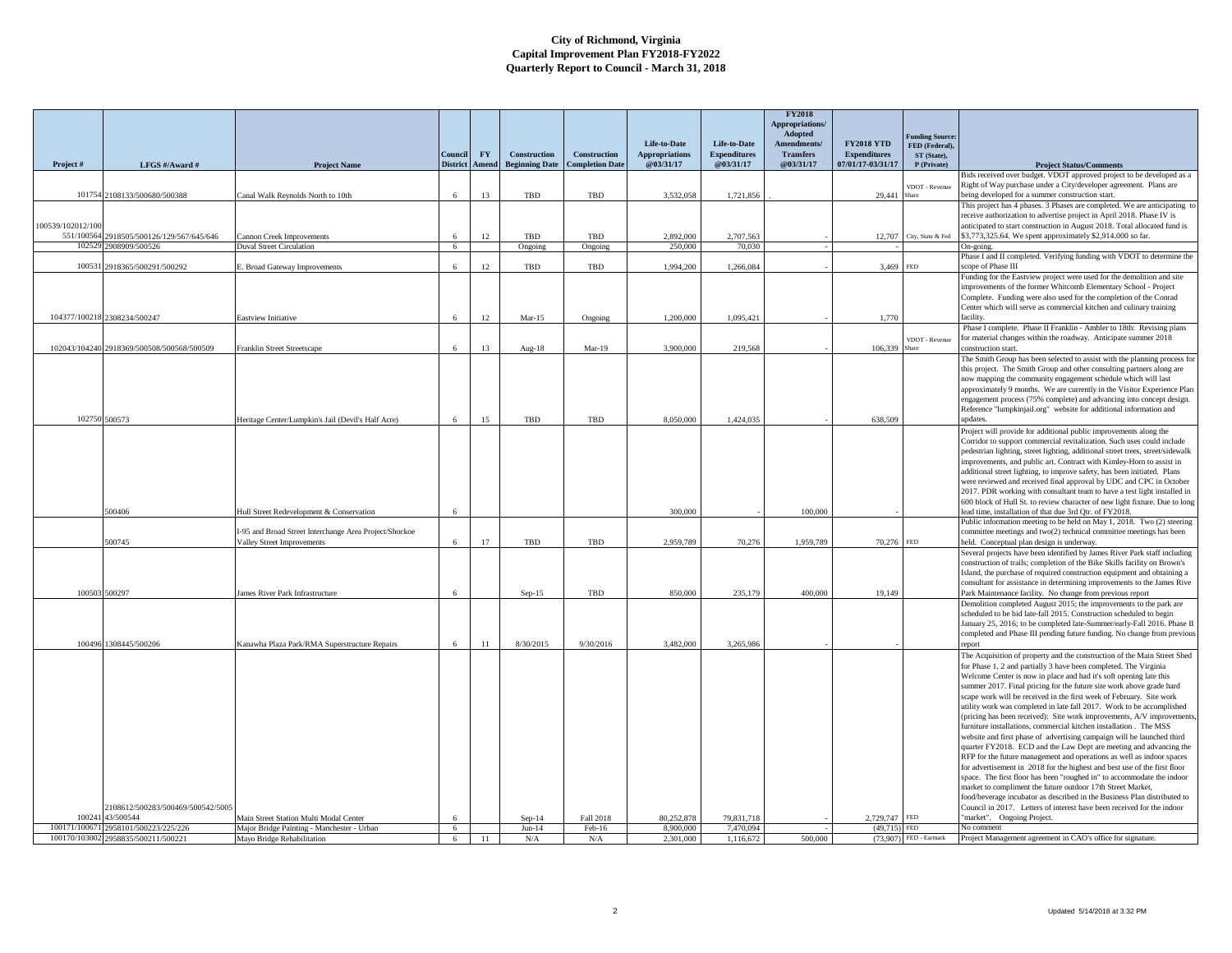|                   |                                                                             |                                                                                      |                 |           |                       |                        |                        |                                  | <b>FY2018</b><br>Appropriations/<br>Adopted |                                          |                                         |                                                                                                                                                         |
|-------------------|-----------------------------------------------------------------------------|--------------------------------------------------------------------------------------|-----------------|-----------|-----------------------|------------------------|------------------------|----------------------------------|---------------------------------------------|------------------------------------------|-----------------------------------------|---------------------------------------------------------------------------------------------------------------------------------------------------------|
|                   |                                                                             |                                                                                      |                 |           |                       |                        | Life-to-Date           | Life-to-Date                     | Amendments/                                 | <b>FY2018 YTD</b>                        | <b>Junding Source</b><br>FED (Federal). |                                                                                                                                                         |
|                   |                                                                             |                                                                                      | Council         | <b>FY</b> | Construction          | <b>Construction</b>    | <b>Appropriations</b>  | <b>Expenditures</b><br>@03/31/17 | <b>Transfers</b><br>@03/31/17               | <b>Expenditures</b><br>07/01/17-03/31/17 | ST (State),                             |                                                                                                                                                         |
| Project#          | LFGS #/Award #                                                              | <b>Project Name</b>                                                                  | <b>District</b> | Amend     | <b>Beginning Date</b> | <b>Completion Date</b> | @03/31/17              |                                  |                                             |                                          | P (Private)                             | <b>Project Status/Comments</b><br>Bids received over budget. VDOT approved project to be developed as a                                                 |
|                   |                                                                             |                                                                                      |                 |           |                       |                        |                        |                                  |                                             |                                          | /DOT - Revenue                          | Right of Way purchase under a City/developer agreement. Plans are                                                                                       |
|                   | 101754 2108133/500680/500388                                                | Canal Walk Reynolds North to 10th                                                    |                 | 13        | TBD                   | TBD                    | 3,532,058              | 1,721,856                        |                                             | 29,441                                   |                                         | being developed for a summer construction start.                                                                                                        |
|                   |                                                                             |                                                                                      |                 |           |                       |                        |                        |                                  |                                             |                                          |                                         | This project has 4 phases. 3 Phases are completed. We are anticipating to<br>receive authorization to advertise project in April 2018. Phase IV is      |
| 100539/102012/100 |                                                                             |                                                                                      |                 |           |                       |                        |                        |                                  |                                             |                                          |                                         | anticipated to start construction in August 2018. Total allocated fund is                                                                               |
| 551/100564        | 2918505/500126/129/567/645/646                                              | Cannon Creek Improvements                                                            |                 | 12        | TBD                   | <b>TBD</b>             | 2,892,000              | 2.707.563                        |                                             | 12,707                                   | City, State & Fed                       | \$3,773,325.64. We spent approximately \$2,914.000 so far.                                                                                              |
| 102529            | 2908909/500526                                                              | <b>Duval Street Circulation</b>                                                      | 6               |           | Ongoing               | Ongoing                | 250,000                | 70,030                           |                                             |                                          |                                         | On-going.<br>Phase I and II completed. Verifying funding with VDOT to determine the                                                                     |
| 100531            | 2918365/500291/500292                                                       | <b>Broad Gateway Improvements</b>                                                    | 6               | 12        | TBD                   | TBD                    | 1,994,200              | 1,266,084                        |                                             | 3,469                                    | <b>FED</b>                              | scope of Phase III                                                                                                                                      |
|                   |                                                                             |                                                                                      |                 |           |                       |                        |                        |                                  |                                             |                                          |                                         | Funding for the Eastview project were used for the demolition and site<br>improvements of the former Whitcomb Elementary School - Project               |
|                   |                                                                             |                                                                                      |                 |           |                       |                        |                        |                                  |                                             |                                          |                                         | Complete. Funding were also used for the completion of the Conrad                                                                                       |
|                   |                                                                             |                                                                                      |                 |           |                       |                        |                        |                                  |                                             |                                          |                                         | Center which will serve as commercial kitchen and culinary training                                                                                     |
|                   | 104377/100218 2308234/500247                                                | Eastview Initiative                                                                  |                 | 12        | $Mar-15$              | Ongoing                | 1,200,000              | 1,095,421                        |                                             | 1,770                                    |                                         | facility.<br>Phase I complete. Phase II Franklin - Ambler to 18th: Revising plans                                                                       |
|                   |                                                                             |                                                                                      |                 |           |                       |                        |                        |                                  |                                             |                                          | VDOT - Revenue                          | for material changes within the roadway. Anticipate summer 2018                                                                                         |
|                   | 102043/104240 2918369/500508/500568/500509                                  | Franklin Street Streetscape                                                          | 6               | 13        | Aug-18                | Mar-19                 | 3,900,000              | 219,568                          |                                             | 106,339                                  |                                         | construction start.                                                                                                                                     |
|                   |                                                                             |                                                                                      |                 |           |                       |                        |                        |                                  |                                             |                                          |                                         | The Smith Group has been selected to assist with the planning process for                                                                               |
|                   |                                                                             |                                                                                      |                 |           |                       |                        |                        |                                  |                                             |                                          |                                         | this project. The Smith Group and other consulting partners along are<br>now mapping the community engagement schedule which will last                  |
|                   |                                                                             |                                                                                      |                 |           |                       |                        |                        |                                  |                                             |                                          |                                         | approximately 9 months. We are currently in the Visitor Experience Plan                                                                                 |
|                   |                                                                             |                                                                                      |                 |           |                       |                        |                        |                                  |                                             |                                          |                                         | engagement process (75% complete) and advancing into concept design.                                                                                    |
|                   | 102750 500573                                                               | Heritage Center/Lumpkin's Jail (Devil's Half Acre)                                   | 6               | 15        | TBD                   | TBD                    | 8,050,000              | 1,424,035                        |                                             | 638,509                                  |                                         | Reference "lumpkinjail.org" website for additional information and<br>updates.                                                                          |
|                   |                                                                             |                                                                                      |                 |           |                       |                        |                        |                                  |                                             |                                          |                                         | Project will provide for additional public improvements along the                                                                                       |
|                   |                                                                             |                                                                                      |                 |           |                       |                        |                        |                                  |                                             |                                          |                                         | Corridor to support commercial revitalization. Such uses could include                                                                                  |
|                   |                                                                             |                                                                                      |                 |           |                       |                        |                        |                                  |                                             |                                          |                                         | pedestrian lighting, street lighting, additional street trees, street/sidewalk                                                                          |
|                   |                                                                             |                                                                                      |                 |           |                       |                        |                        |                                  |                                             |                                          |                                         | improvements, and public art. Contract with Kimley-Horn to assist in<br>additional street lighting, to improve safety, has been initiated. Plans        |
|                   |                                                                             |                                                                                      |                 |           |                       |                        |                        |                                  |                                             |                                          |                                         | were reviewed and received final approval by UDC and CPC in October                                                                                     |
|                   |                                                                             |                                                                                      |                 |           |                       |                        |                        |                                  |                                             |                                          |                                         | 2017. PDR working with consultant team to have a test light installed in<br>600 block of Hull St. to review character of new light fixture. Due to long |
|                   | 500406                                                                      | Hull Street Redevelopment & Conservation                                             |                 |           |                       |                        | 300,000                |                                  | 100,000                                     |                                          |                                         | lead time, installation of that due 3rd Qtr. of FY2018.                                                                                                 |
|                   |                                                                             |                                                                                      |                 |           |                       |                        |                        |                                  |                                             |                                          |                                         | Public information meeting to be held on May 1, 2018. Two (2) steering                                                                                  |
|                   | 500745                                                                      | I-95 and Broad Street Interchange Area Project/Shockoe<br>Valley Street Improvements | 6               | 17        | TBD                   | <b>TBD</b>             | 2.959,789              | 70,276                           | 1,959,789                                   | 70,276                                   | <b>FED</b>                              | committee meetings and two(2) technical committee meetings has been<br>held. Conceptual plan design is underway.                                        |
|                   |                                                                             |                                                                                      |                 |           |                       |                        |                        |                                  |                                             |                                          |                                         | Several projects have been identified by James River Park staff including                                                                               |
|                   |                                                                             |                                                                                      |                 |           |                       |                        |                        |                                  |                                             |                                          |                                         | construction of trails; completion of the Bike Skills facility on Brown's                                                                               |
|                   |                                                                             |                                                                                      |                 |           |                       |                        |                        |                                  |                                             |                                          |                                         | Island, the purchase of required construction equipment and obtaining a<br>consultant for assistance in determining improvements to the James Rive      |
|                   | 100503 500297                                                               | James River Park Infrastructure                                                      | 6               |           | $Sep-15$              | TBD                    | 850,000                | 235,179                          | 400,000                                     | 19.149                                   |                                         | Park Maintenance facility. No change from previous report                                                                                               |
|                   |                                                                             |                                                                                      |                 |           |                       |                        |                        |                                  |                                             |                                          |                                         | Demolition completed August 2015; the improvements to the park are                                                                                      |
|                   |                                                                             |                                                                                      |                 |           |                       |                        |                        |                                  |                                             |                                          |                                         | scheduled to be bid late-fall 2015. Construction scheduled to begin<br>January 25, 2016; to be completed late-Summer/early-Fall 2016. Phase II          |
|                   |                                                                             |                                                                                      |                 |           |                       |                        |                        |                                  |                                             |                                          |                                         | completed and Phase III pending future funding. No change from previous                                                                                 |
|                   | 100496 1308445/500206                                                       | Kanawha Plaza Park/RMA Superstructure Repairs                                        |                 | 11        | 8/30/2015             | 9/30/2016              | 3.482,000              | 3.265.986                        |                                             |                                          |                                         | report                                                                                                                                                  |
|                   |                                                                             |                                                                                      |                 |           |                       |                        |                        |                                  |                                             |                                          |                                         | The Acquisition of property and the construction of the Main Street Shed                                                                                |
|                   |                                                                             |                                                                                      |                 |           |                       |                        |                        |                                  |                                             |                                          |                                         | for Phase 1, 2 and partially 3 have been completed. The Virginia<br>Welcome Center is now in place and had it's soft opening late this                  |
|                   |                                                                             |                                                                                      |                 |           |                       |                        |                        |                                  |                                             |                                          |                                         | summer 2017. Final pricing for the future site work above grade hard                                                                                    |
|                   |                                                                             |                                                                                      |                 |           |                       |                        |                        |                                  |                                             |                                          |                                         | scape work will be received in the first week of February. Site work                                                                                    |
|                   |                                                                             |                                                                                      |                 |           |                       |                        |                        |                                  |                                             |                                          |                                         | utility work was completed in late fall 2017. Work to be accomplished<br>(pricing has been received): Site work improvements, A/V improvements          |
|                   |                                                                             |                                                                                      |                 |           |                       |                        |                        |                                  |                                             |                                          |                                         | furniture installations, commercial kitchen installation. The MSS                                                                                       |
|                   |                                                                             |                                                                                      |                 |           |                       |                        |                        |                                  |                                             |                                          |                                         | website and first phase of advertising campaign will be launched third                                                                                  |
|                   |                                                                             |                                                                                      |                 |           |                       |                        |                        |                                  |                                             |                                          |                                         | quarter FY2018. ECD and the Law Dept are meeting and advancing the<br>RFP for the future management and operations as well as indoor spaces             |
|                   |                                                                             |                                                                                      |                 |           |                       |                        |                        |                                  |                                             |                                          |                                         | for advertisement in 2018 for the highest and best use of the first floor                                                                               |
|                   |                                                                             |                                                                                      |                 |           |                       |                        |                        |                                  |                                             |                                          |                                         | space. The first floor has been "roughed in" to accommodate the indoor                                                                                  |
|                   |                                                                             |                                                                                      |                 |           |                       |                        |                        |                                  |                                             |                                          |                                         | market to compliment the future outdoor 17th Street Market,<br>food/beverage incubator as described in the Business Plan distributed to                 |
|                   | 2108612/500283/500469/500542/5005                                           |                                                                                      |                 |           |                       |                        |                        |                                  |                                             |                                          |                                         | Council in 2017. Letters of interest have been received for the indoor                                                                                  |
| 100241            | 43/500544                                                                   | Main Street Station Multi Modal Center                                               |                 |           | $Sep-14$              | Fall 2018              | 80,252,878             | 79,831,718                       |                                             | 2,729,747                                | <b>FED</b>                              | "market". Ongoing Project.                                                                                                                              |
|                   | 100171/100671 2958101/500223/225/226<br>100170/103002 2958835/500211/500221 | Major Bridge Painting - Manchester - Urban<br>Mayo Bridge Rehabilitation             | 6<br>6          | 11        | $Jun-14$<br>N/A       | Feb-16<br>N/A          | 8,900,000<br>2,301,000 | 7,470,094<br>1,116,672           | 500,000                                     | $(49.715)$ FED                           | (73,907) FED - Earmark                  | No comment<br>Project Management agreement in CAO's office for signature.                                                                               |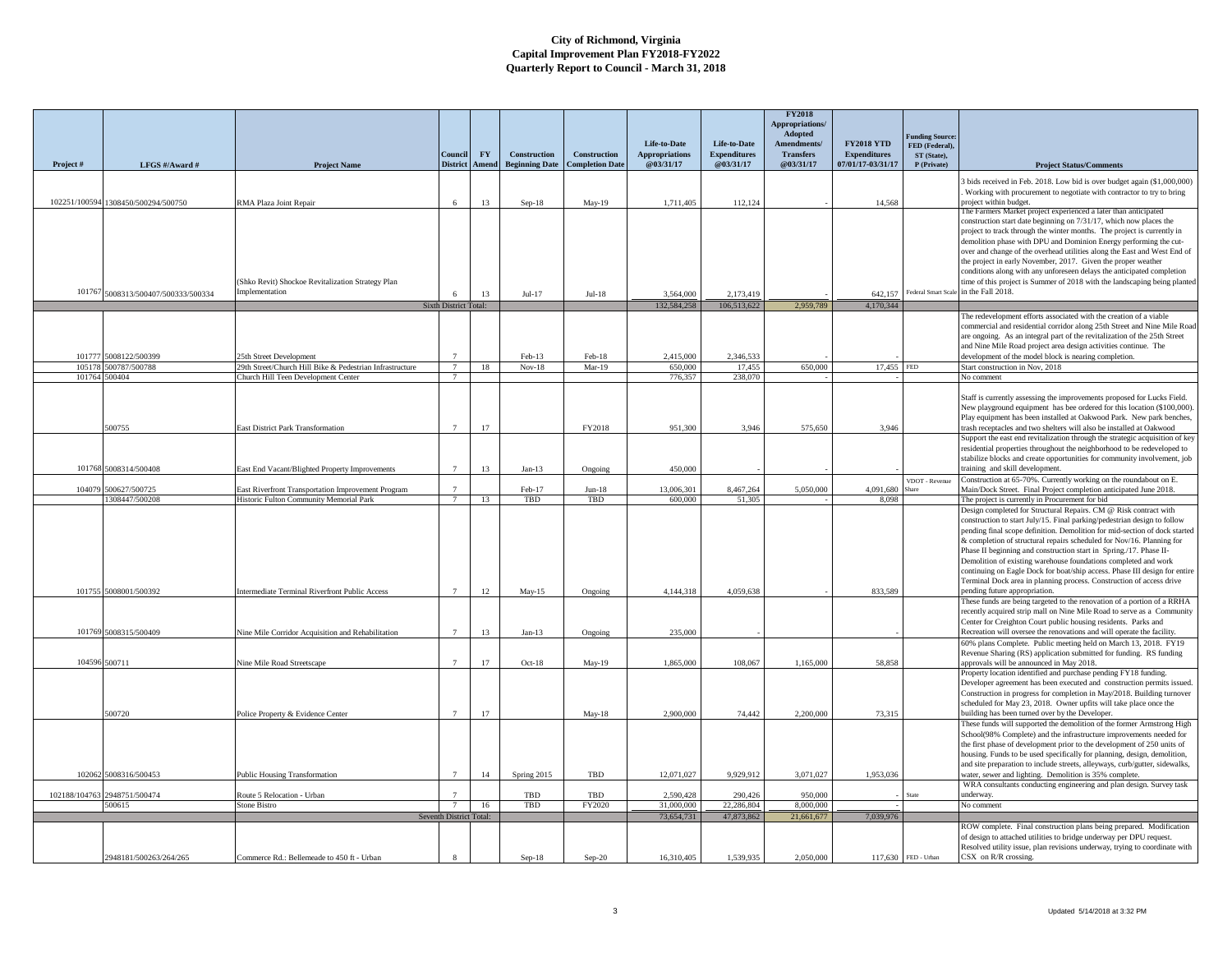|               |                                     |                                                                                                 |                                   |                    |                                              |                                        |                                    |                                  | <b>FY2018</b><br>Appropriations/<br>Adopted |                                          |                                         |                                                                                                                                                                          |
|---------------|-------------------------------------|-------------------------------------------------------------------------------------------------|-----------------------------------|--------------------|----------------------------------------------|----------------------------------------|------------------------------------|----------------------------------|---------------------------------------------|------------------------------------------|-----------------------------------------|--------------------------------------------------------------------------------------------------------------------------------------------------------------------------|
|               |                                     |                                                                                                 |                                   |                    |                                              |                                        | Life-to-Date                       | Life-to-Date                     | Amendments/                                 | <b>FY2018 YTD</b>                        | <b>Junding Source</b><br>FED (Federal). |                                                                                                                                                                          |
|               |                                     |                                                                                                 | Council<br><b>District</b>        | <b>FY</b><br>Amend | <b>Construction</b><br><b>Beginning Date</b> | Construction<br><b>Completion Date</b> | <b>Appropriations</b><br>@03/31/17 | <b>Expenditures</b><br>@03/31/17 | <b>Transfers</b><br>@03/31/17               | <b>Expenditures</b><br>07/01/17-03/31/17 | ST (State),<br>P (Private)              |                                                                                                                                                                          |
| Project #     | LFGS #/Award #                      | <b>Project Name</b>                                                                             |                                   |                    |                                              |                                        |                                    |                                  |                                             |                                          |                                         | <b>Project Status/Comments</b>                                                                                                                                           |
|               | 102251/100594 1308450/500294/500750 | RMA Plaza Joint Repair                                                                          | 6                                 | 13                 | $Sep-18$                                     | $May-19$                               | 1,711,405                          | 112,124                          |                                             | 14,568                                   |                                         | bids received in Feb. 2018. Low bid is over budget again (\$1,000,000)<br>Working with procurement to negotiate with contractor to try to bring<br>project within budget |
|               |                                     |                                                                                                 |                                   |                    |                                              |                                        |                                    |                                  |                                             |                                          |                                         | The Farmers Market project experienced a later than anticipated<br>construction start date beginning on 7/31/17, which now places the                                    |
|               |                                     |                                                                                                 |                                   |                    |                                              |                                        |                                    |                                  |                                             |                                          |                                         | project to track through the winter months. The project is currently in                                                                                                  |
|               |                                     |                                                                                                 |                                   |                    |                                              |                                        |                                    |                                  |                                             |                                          |                                         | demolition phase with DPU and Dominion Energy performing the cut-                                                                                                        |
|               |                                     |                                                                                                 |                                   |                    |                                              |                                        |                                    |                                  |                                             |                                          |                                         | over and change of the overhead utilities along the East and West End of                                                                                                 |
|               |                                     |                                                                                                 |                                   |                    |                                              |                                        |                                    |                                  |                                             |                                          |                                         | the project in early November, 2017. Given the proper weather<br>conditions along with any unforeseen delays the anticipated completion                                  |
|               |                                     | (Shko Revit) Shockoe Revitalization Strategy Plan                                               |                                   |                    |                                              |                                        |                                    |                                  |                                             |                                          |                                         | time of this project is Summer of 2018 with the landscaping being planted                                                                                                |
|               | 101767 5008313/500407/500333/500334 | Implementation                                                                                  |                                   | 13                 | $Jul-17$                                     | $Jul-18$                               | 3,564,000                          | 2.173.419                        |                                             | 642.157                                  |                                         | Federal Smart Scale in the Fall 2018.                                                                                                                                    |
|               |                                     |                                                                                                 | Sixth District Total:             |                    |                                              |                                        | 132,584,258                        | 106.513.622                      | 2,959,789                                   | 4,170,344                                |                                         |                                                                                                                                                                          |
|               |                                     |                                                                                                 |                                   |                    |                                              |                                        |                                    |                                  |                                             |                                          |                                         | The redevelopment efforts associated with the creation of a viable<br>commercial and residential corridor along 25th Street and Nine Mile Road                           |
|               |                                     |                                                                                                 |                                   |                    |                                              |                                        |                                    |                                  |                                             |                                          |                                         | are ongoing. As an integral part of the revitalization of the 25th Street                                                                                                |
|               |                                     |                                                                                                 |                                   |                    |                                              |                                        |                                    |                                  |                                             |                                          |                                         | and Nine Mile Road project area design activities continue. The                                                                                                          |
| 101777        | 5008122/500399                      | 25th Street Development                                                                         | 7                                 |                    | Feb-13                                       | Feb-18                                 | 2,415,000                          | 2,346,533                        |                                             |                                          |                                         | development of the model block is nearing completion.                                                                                                                    |
| 105178        | 500787/500788<br>101764 500404      | 29th Street/Church Hill Bike & Pedestrian Infrastructure<br>Church Hill Teen Development Center | $7\phantom{.0}$                   | 18                 | $Nov-18$                                     | $Mar-19$                               | 650,000<br>776,357                 | 17,455<br>238,070                | 650,000                                     | 17,455 FED                               |                                         | Start construction in Nov, 2018<br>No comment                                                                                                                            |
|               |                                     |                                                                                                 |                                   |                    |                                              |                                        |                                    |                                  |                                             |                                          |                                         |                                                                                                                                                                          |
|               |                                     |                                                                                                 |                                   |                    |                                              |                                        |                                    |                                  |                                             |                                          |                                         | Staff is currently assessing the improvements proposed for Lucks Field.                                                                                                  |
|               |                                     |                                                                                                 |                                   |                    |                                              |                                        |                                    |                                  |                                             |                                          |                                         | New playground equipment has bee ordered for this location (\$100,000).<br>Play equipment has been installed at Oakwood Park. New park benches,                          |
|               | 500755                              | East District Park Transformation                                                               | $7\phantom{.0}$                   | 17                 |                                              | FY2018                                 | 951,300                            | 3.946                            | 575,650                                     | 3.946                                    |                                         | trash receptacles and two shelters will also be installed at Oakwood                                                                                                     |
|               |                                     |                                                                                                 |                                   |                    |                                              |                                        |                                    |                                  |                                             |                                          |                                         | Support the east end revitalization through the strategic acquisition of key                                                                                             |
|               |                                     |                                                                                                 |                                   |                    |                                              |                                        |                                    |                                  |                                             |                                          |                                         | residential properties throughout the neighborhood to be redeveloped to<br>stabilize blocks and create opportunities for community involvement, job                      |
| 101768        | 5008314/500408                      | East End Vacant/Blighted Property Improvements                                                  | $7\overline{ }$                   | 13                 | $Jan-13$                                     | Ongoing                                | 450,000                            |                                  |                                             |                                          |                                         | training and skill development.                                                                                                                                          |
|               |                                     |                                                                                                 |                                   |                    |                                              |                                        |                                    |                                  |                                             |                                          | VDOT - Revenue                          | Construction at 65-70%. Currently working on the roundabout on E.                                                                                                        |
| 104079        | 500627/500725<br>1308447/500208     | East Riverfront Transportation Improvement Program<br>Historic Fulton Community Memorial Park   | $7\phantom{.0}$<br>$\overline{7}$ | 13                 | Feb-17<br>TBD                                | $Jun-18$<br>TBD                        | 13,006,301<br>600,000              | 8.467.264<br>51,305              | 5,050,000                                   | 4,091,680<br>8.098                       | Share                                   | Main/Dock Street. Final Project completion anticipated June 2018.<br>The project is currently in Procurement for bid                                                     |
|               |                                     |                                                                                                 |                                   |                    |                                              |                                        |                                    |                                  |                                             |                                          |                                         | Design completed for Structural Repairs. CM @ Risk contract with                                                                                                         |
|               |                                     |                                                                                                 |                                   |                    |                                              |                                        |                                    |                                  |                                             |                                          |                                         | construction to start July/15. Final parking/pedestrian design to follow                                                                                                 |
|               |                                     |                                                                                                 |                                   |                    |                                              |                                        |                                    |                                  |                                             |                                          |                                         | pending final scope definition. Demolition for mid-section of dock started                                                                                               |
|               |                                     |                                                                                                 |                                   |                    |                                              |                                        |                                    |                                  |                                             |                                          |                                         | & completion of structural repairs scheduled for Nov/16. Planning for<br>Phase II beginning and construction start in Spring./17. Phase II-                              |
|               |                                     |                                                                                                 |                                   |                    |                                              |                                        |                                    |                                  |                                             |                                          |                                         | Demolition of existing warehouse foundations completed and work                                                                                                          |
|               |                                     |                                                                                                 |                                   |                    |                                              |                                        |                                    |                                  |                                             |                                          |                                         | continuing on Eagle Dock for boat/ship access. Phase III design for entire                                                                                               |
|               | 101755 5008001/500392               | ntermediate Terminal Riverfront Public Access                                                   | $\mathcal{I}$                     | 12                 | $May-15$                                     | Ongoing                                | 4,144,318                          | 4.059.638                        |                                             | 833,589                                  |                                         | Terminal Dock area in planning process. Construction of access drive<br>pending future appropriation.                                                                    |
|               |                                     |                                                                                                 |                                   |                    |                                              |                                        |                                    |                                  |                                             |                                          |                                         | These funds are being targeted to the renovation of a portion of a RRHA                                                                                                  |
|               |                                     |                                                                                                 |                                   |                    |                                              |                                        |                                    |                                  |                                             |                                          |                                         | ecently acquired strip mall on Nine Mile Road to serve as a Community<br>Center for Creighton Court public housing residents. Parks and                                  |
|               | 101769 5008315/500409               | Nine Mile Corridor Acquisition and Rehabilitation                                               |                                   | 13                 | $Jan-13$                                     | Ongoing                                | 235,000                            |                                  |                                             |                                          |                                         | Recreation will oversee the renovations and will operate the facility.                                                                                                   |
|               |                                     |                                                                                                 |                                   |                    |                                              |                                        |                                    |                                  |                                             |                                          |                                         | 60% plans Complete. Public meeting held on March 13, 2018. FY19                                                                                                          |
|               | 104596 500711                       |                                                                                                 |                                   | 17                 | Oct-18                                       |                                        | 1,865,000                          | 108,067                          | 1,165,000                                   | 58,858                                   |                                         | Revenue Sharing (RS) application submitted for funding. RS funding                                                                                                       |
|               |                                     | Vine Mile Road Streetscape                                                                      |                                   |                    |                                              | May-19                                 |                                    |                                  |                                             |                                          |                                         | pprovals will be announced in May 2018.<br>Property location identified and purchase pending FY18 funding.                                                               |
|               |                                     |                                                                                                 |                                   |                    |                                              |                                        |                                    |                                  |                                             |                                          |                                         | Developer agreement has been executed and construction permits issued.                                                                                                   |
|               |                                     |                                                                                                 |                                   |                    |                                              |                                        |                                    |                                  |                                             |                                          |                                         | Construction in progress for completion in May/2018. Building turnover<br>scheduled for May 23, 2018. Owner upfits will take place once the                              |
|               | 500720                              | Police Property & Evidence Center                                                               | $\overline{7}$                    | 17                 |                                              | $May-18$                               | 2,900,000                          | 74,442                           | 2,200,000                                   | 73,315                                   |                                         | building has been turned over by the Developer.                                                                                                                          |
|               |                                     |                                                                                                 |                                   |                    |                                              |                                        |                                    |                                  |                                             |                                          |                                         | These funds will supported the demolition of the former Armstrong High                                                                                                   |
|               |                                     |                                                                                                 |                                   |                    |                                              |                                        |                                    |                                  |                                             |                                          |                                         | School(98% Complete) and the infrastructure improvements needed for<br>the first phase of development prior to the development of 250 units of                           |
|               |                                     |                                                                                                 |                                   |                    |                                              |                                        |                                    |                                  |                                             |                                          |                                         | housing. Funds to be used specifically for planning, design, demolition,                                                                                                 |
|               |                                     |                                                                                                 |                                   |                    |                                              |                                        |                                    |                                  |                                             |                                          |                                         | and site preparation to include streets, alleyways, curb/gutter, sidewalks,                                                                                              |
|               | 102062 5008316/500453               | Public Housing Transformation                                                                   |                                   | 14                 | Spring 2015                                  | TBD                                    | 12,071,027                         | 9,929,912                        | 3.071.027                                   | 1.953.036                                |                                         | water, sewer and lighting. Demolition is 35% complete.<br>WRA consultants conducting engineering and plan design. Survey task                                            |
| 102188/104763 | 2948751/500474                      | Route 5 Relocation - Urban                                                                      |                                   |                    | TBD                                          | TBD                                    | 2.590.428                          | 290,426                          | 950,000                                     |                                          | tate                                    | underway.                                                                                                                                                                |
|               | 500615                              | <b>Stone Bistro</b>                                                                             |                                   | 16                 | TBD                                          | FY2020                                 | 31,000,000                         | 22,286,804                       | 8,000,000                                   |                                          |                                         | No comment                                                                                                                                                               |
|               |                                     |                                                                                                 | Seventh District Total:           |                    |                                              |                                        | 73,654,731                         | 47,873,862                       | 21,661,677                                  | 7,039,976                                |                                         |                                                                                                                                                                          |
|               |                                     |                                                                                                 |                                   |                    |                                              |                                        |                                    |                                  |                                             |                                          |                                         | ROW complete. Final construction plans being prepared. Modification<br>of design to attached utilities to bridge underway per DPU request.                               |
|               |                                     |                                                                                                 |                                   |                    |                                              |                                        |                                    |                                  |                                             |                                          |                                         | Resolved utility issue, plan revisions underway, trying to coordinate with                                                                                               |
|               | 2948181/500263/264/265              | Commerce Rd.: Bellemeade to 450 ft - Urban                                                      |                                   |                    | $Sep-18$                                     | $Sep-20$                               | 16,310,405                         | 1.539.935                        | 2.050.000                                   |                                          | 117,630 FED - Urban                     | CSX on R/R crossing.                                                                                                                                                     |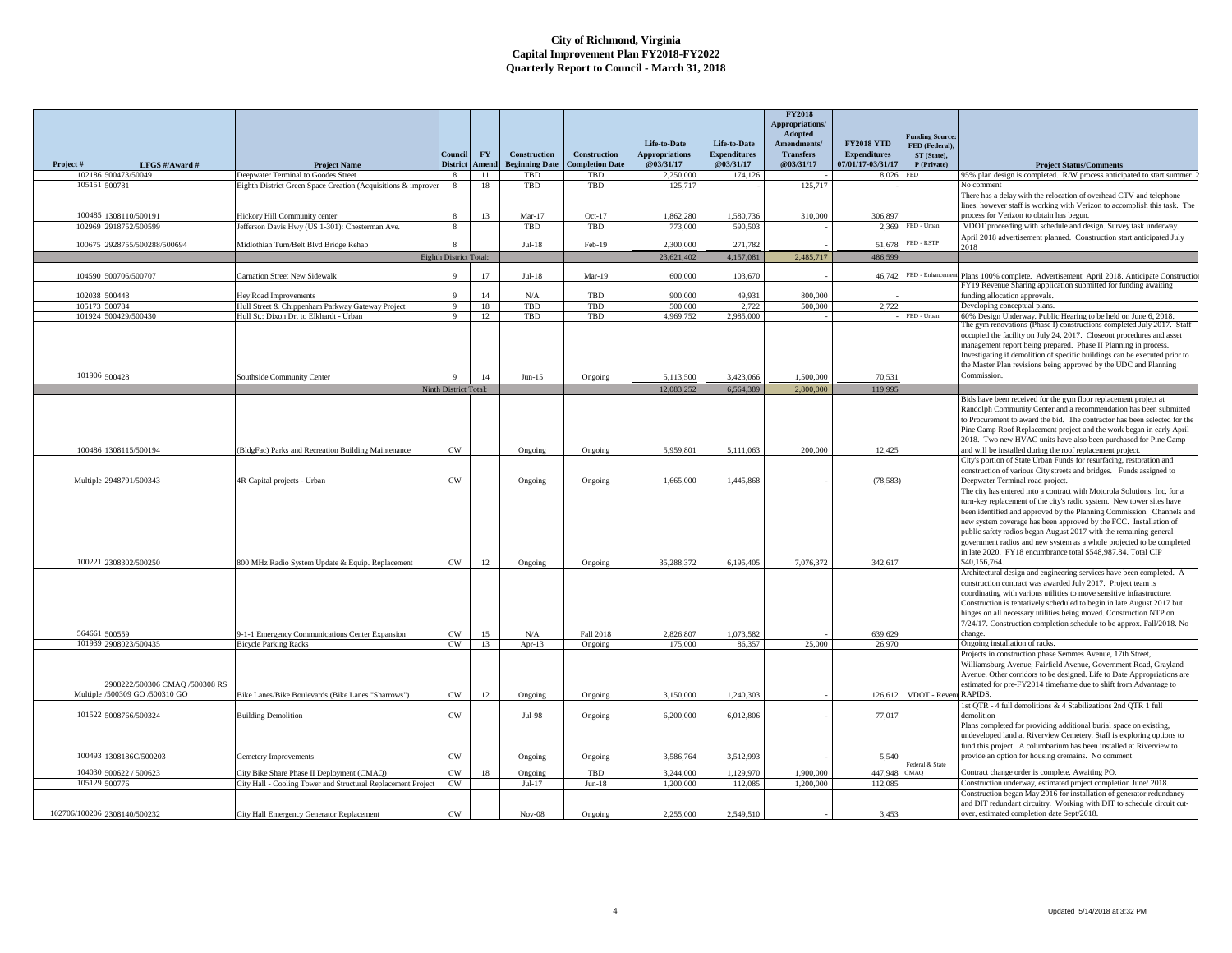|                 |                                                         |                                                              |                            |                    |                                       |                                               | Life-to-Date                       | Life-to-Date                     | <b>FY2018</b><br>Appropriations/<br>Adopted<br>Amendments/ | <b>FY2018 YTD</b>                        | <b>Funding Source:</b><br>FED (Federal). |                                                                                                                                                                                                                                                                                                                                                                                                                                                    |
|-----------------|---------------------------------------------------------|--------------------------------------------------------------|----------------------------|--------------------|---------------------------------------|-----------------------------------------------|------------------------------------|----------------------------------|------------------------------------------------------------|------------------------------------------|------------------------------------------|----------------------------------------------------------------------------------------------------------------------------------------------------------------------------------------------------------------------------------------------------------------------------------------------------------------------------------------------------------------------------------------------------------------------------------------------------|
| Project#        | LFGS #/Award #                                          | <b>Project Name</b>                                          | Council<br><b>District</b> | <b>FY</b><br>Amend | Construction<br><b>Beginning Date</b> | <b>Construction</b><br><b>Completion Date</b> | <b>Appropriations</b><br>@03/31/17 | <b>Expenditures</b><br>@03/31/17 | <b>Transfers</b><br>@03/31/17                              | <b>Expenditures</b><br>07/01/17-03/31/17 | ST (State),<br>P (Private)               | <b>Project Status/Comments</b>                                                                                                                                                                                                                                                                                                                                                                                                                     |
| 102186          | 500473/500491                                           | Deepwater Terminal to Goodes Street                          | 8                          | $\overline{11}$    | TBD                                   | TBD                                           | 2.250,000                          | 174,126                          |                                                            | 8.026                                    | <b>FED</b>                               | 95% plan design is completed. R/W process anticipated to start summer 2                                                                                                                                                                                                                                                                                                                                                                            |
| 10515           | 500781                                                  | Eighth District Green Space Creation (Acquisitions & improve | 8                          | 18                 | TBD                                   | TBD                                           | 125,717                            |                                  | 125,717                                                    |                                          |                                          | No comment                                                                                                                                                                                                                                                                                                                                                                                                                                         |
|                 |                                                         |                                                              |                            |                    |                                       |                                               |                                    |                                  |                                                            |                                          |                                          | There has a delay with the relocation of overhead CTV and telephone<br>lines, however staff is working with Verizon to accomplish this task. The                                                                                                                                                                                                                                                                                                   |
| 100485          | 308110/500191                                           | Hickory Hill Community center                                | $\mathbf{8}$               | 13                 | $Mar-17$                              | $Oct-17$                                      | 1.862.280                          | 1.580.736                        | 310,000                                                    | 306,897                                  |                                          | process for Verizon to obtain has begun.                                                                                                                                                                                                                                                                                                                                                                                                           |
| 102969          | 2918752/500599                                          | Jefferson Davis Hwy (US 1-301): Chesterman Ave.              | 8                          |                    | TBD                                   | TBD                                           | 773,000                            | 590,503                          |                                                            |                                          | 2.369 FED - Urban                        | VDOT proceeding with schedule and design. Survey task underway.                                                                                                                                                                                                                                                                                                                                                                                    |
|                 |                                                         |                                                              |                            |                    |                                       |                                               |                                    |                                  |                                                            |                                          |                                          | April 2018 advertisement planned. Construction start anticipated July                                                                                                                                                                                                                                                                                                                                                                              |
| 10067.          | 2928755/500288/500694                                   | Midlothian Turn/Belt Blvd Bridge Rehab                       | $\mathbf{8}$               |                    | $Jul-18$                              | Feb-19                                        | 2,300,000                          | 271,782                          |                                                            | 51,678                                   | FED - RSTP                               | 2018                                                                                                                                                                                                                                                                                                                                                                                                                                               |
|                 |                                                         |                                                              | Eighth District Total:     |                    |                                       |                                               | 23,621,402                         | 4,157,081                        | 2,485,717                                                  | 486,599                                  |                                          |                                                                                                                                                                                                                                                                                                                                                                                                                                                    |
|                 | 104590 500706/500707                                    | Carnation Street New Sidewalk                                | $\mathbf Q$                | 17                 | $Jul-18$                              | $Mar-19$                                      | 600.000                            | 103,670                          |                                                            | 46,742                                   | FED - Enhanceme                          | Plans 100% complete. Advertisement April 2018. Anticipate Construction                                                                                                                                                                                                                                                                                                                                                                             |
|                 |                                                         |                                                              |                            |                    |                                       |                                               |                                    |                                  |                                                            |                                          |                                          | FY19 Revenue Sharing application submitted for funding awaiting                                                                                                                                                                                                                                                                                                                                                                                    |
| 10203           | 500448                                                  | <b>Tey Road Improvements</b>                                 | $\mathbf Q$                | 14                 | N/A                                   | TBD                                           | 900,000                            | 49.931                           | 800,000                                                    |                                          |                                          | funding allocation approvals.                                                                                                                                                                                                                                                                                                                                                                                                                      |
| 105173          | 500784                                                  | Hull Street & Chippenham Parkway Gateway Project             | 9                          | <sup>18</sup>      | TBD                                   | TBD                                           | 500,000                            | 2,722                            | 500.000                                                    | 2,722                                    |                                          | Developing conceptual plans.                                                                                                                                                                                                                                                                                                                                                                                                                       |
| 101924          | 500429/500430                                           | Hull St.: Dixon Dr. to Elkhardt - Urban                      | 9                          | 12                 | TBD                                   | TBD                                           | 4.969.752                          | 2,985,000                        |                                                            |                                          | FED - Urban                              | 60% Design Underway. Public Hearing to be held on June 6, 2018.                                                                                                                                                                                                                                                                                                                                                                                    |
| 101906 500428   |                                                         | Southside Community Center                                   | $\mathbf{Q}$               | 14                 | $Jun-15$                              | Ongoing                                       | 5.113.500                          | 3.423.066                        | 1.500.000                                                  | 70.531                                   |                                          | the gym renovations (Phase I) constructions completed July 2017. Staff<br>occupied the facility on July 24, 2017. Closeout procedures and asset<br>nanagement report being prepared. Phase II Planning in process.<br>Investigating if demolition of specific buildings can be executed prior to<br>the Master Plan revisions being approved by the UDC and Planning<br>Commission.                                                                |
|                 |                                                         |                                                              | Ninth District Total:      |                    |                                       |                                               | 12.083.252                         | 6.564.389                        | 2.800.000                                                  | 119,995                                  |                                          |                                                                                                                                                                                                                                                                                                                                                                                                                                                    |
|                 | 100486 1308115/500194                                   | BldgFac) Parks and Recreation Building Maintenance           | $_{\rm CW}$                |                    | Ongoing                               | Ongoing                                       | 5.959.801                          | 5,111,063                        | 200,000                                                    | 12,425                                   |                                          | Bids have been received for the gym floor replacement project at<br>Randolph Community Center and a recommendation has been submitted<br>to Procurement to award the bid. The contractor has been selected for the<br>Pine Camp Roof Replacement project and the work began in early April<br>2018. Two new HVAC units have also been purchased for Pine Camp<br>and will be installed during the roof replacement project.                        |
|                 |                                                         |                                                              |                            |                    |                                       |                                               |                                    |                                  |                                                            |                                          |                                          | City's portion of State Urban Funds for resurfacing, restoration and                                                                                                                                                                                                                                                                                                                                                                               |
|                 |                                                         |                                                              | $_{\rm CW}$                |                    |                                       |                                               |                                    |                                  |                                                            |                                          |                                          | construction of various City streets and bridges. Funds assigned to                                                                                                                                                                                                                                                                                                                                                                                |
|                 | Multiple 2948791/500343                                 | 4R Capital projects - Urban                                  |                            |                    | Ongoing                               | Ongoing                                       | 1,665,000                          | 1,445,868                        |                                                            | (78, 583)                                |                                          | Deepwater Terminal road project.<br>The city has entered into a contract with Motorola Solutions, Inc. for a                                                                                                                                                                                                                                                                                                                                       |
|                 | 100221 2308302/500250                                   | 800 MHz Radio System Update & Equip. Replacement             | CW                         | 12                 | Ongoing                               | Ongoing                                       | 35,288,372                         | 6,195,405                        | 7,076,372                                                  | 342,617                                  |                                          | turn-key replacement of the city's radio system. New tower sites have<br>been identified and approved by the Planning Commission. Channels and<br>new system coverage has been approved by the FCC. Installation of<br>public safety radios began August 2017 with the remaining general<br>government radios and new system as a whole projected to be completed<br>in late 2020. FY18 encumbrance total \$548,987.84. Total CIP<br>\$40,156,764. |
|                 |                                                         |                                                              |                            |                    |                                       |                                               |                                    |                                  |                                                            |                                          |                                          | Architectural design and engineering services have been completed. A                                                                                                                                                                                                                                                                                                                                                                               |
| 564661          | 500559                                                  | 0-1-1 Emergency Communications Center Expansion              | <b>CW</b>                  | 15                 | N/A                                   | Fall 2018                                     | 2.826,807                          | 1.073.582                        |                                                            | 639,629                                  |                                          | construction contract was awarded July 2017. Project team is<br>coordinating with various utilities to move sensitive infrastructure.<br>Construction is tentatively scheduled to begin in late August 2017 but<br>hinges on all necessary utilities being moved. Construction NTP on<br>7/24/17. Construction completion schedule to be approx. Fall/2018. No<br>change.                                                                          |
| 10193           | 2908023/500435                                          | <b>Bicycle Parking Racks</b>                                 | CW                         | 13                 | $Apr-13$                              | Ongoing                                       | 175.000                            | 86.357                           | 25.000                                                     | 26,970                                   |                                          | Ongoing installation of racks.                                                                                                                                                                                                                                                                                                                                                                                                                     |
| <b>Multiple</b> | 2908222/500306 CMAQ /500308 RS<br>/500309 GO /500310 GO | Bike Lanes/Bike Boulevards (Bike Lanes "Sharrows")           | CW                         | 12                 | Ongoing                               | Ongoing                                       | 3.150,000                          | 1.240.303                        |                                                            |                                          | 126,612 VDOT - Revent RAPIDS.            | Projects in construction phase Semmes Avenue, 17th Street,<br>Williamsburg Avenue, Fairfield Avenue, Government Road, Grayland<br>Avenue. Other corridors to be designed. Life to Date Appropriations are<br>estimated for pre-FY2014 timeframe due to shift from Advantage to                                                                                                                                                                     |
|                 |                                                         |                                                              |                            |                    |                                       |                                               |                                    |                                  |                                                            |                                          |                                          | 1st QTR - 4 full demolitions & 4 Stabilizations 2nd QTR 1 full                                                                                                                                                                                                                                                                                                                                                                                     |
| 101522          | 5008766/500324                                          | <b>Building Demolition</b>                                   | $_{\rm CW}$                |                    | Jul-98                                | Ongoing                                       | 6,200,000                          | 6,012,806                        |                                                            | 77,017                                   |                                          | temolition                                                                                                                                                                                                                                                                                                                                                                                                                                         |
| 100493          | 1308186C/500203                                         | Cemetery Improvements                                        | $\mathrm{CW}$              |                    | Ongoing                               | Ongoing                                       | 3,586,764                          | 3,512,993                        |                                                            | 5.540                                    |                                          | Plans completed for providing additional burial space on existing,<br>undeveloped land at Riverview Cemetery. Staff is exploring options to<br>fund this project. A columbarium has been installed at Riverview to<br>provide an option for housing cremains. No comment                                                                                                                                                                           |
|                 |                                                         |                                                              |                            |                    |                                       |                                               |                                    |                                  |                                                            |                                          | ederal & Sta                             |                                                                                                                                                                                                                                                                                                                                                                                                                                                    |
| 10403           | 500622/500623                                           | City Bike Share Phase II Deployment (CMAQ)                   | $\mathrm{cw}$              | 18                 | Ongoing                               | TBD                                           | 3,244,000                          | 1,129,970                        | 1,900,000                                                  | 447,948                                  | CMAQ                                     | Contract change order is complete. Awaiting PO.                                                                                                                                                                                                                                                                                                                                                                                                    |
| 105129 500776   |                                                         | City Hall - Cooling Tower and Structural Replacement Project | CW                         |                    | $Jul-17$                              | $Jun-18$                                      | 1,200,000                          | 112,085                          | 1,200,000                                                  | 112,085                                  |                                          | Construction underway, estimated project completion June/ 2018.<br>Construction began May 2016 for installation of generator redundancy                                                                                                                                                                                                                                                                                                            |
|                 | 102706/100206 2308140/500232                            | City Hall Emergency Generator Replacement                    | CW                         |                    | $Nov-08$                              | Ongoing                                       | 2.255,000                          | 2.549.510                        |                                                            | 3.453                                    |                                          | and DIT redundant circuitry. Working with DIT to schedule circuit cut-<br>over, estimated completion date Sept/2018.                                                                                                                                                                                                                                                                                                                               |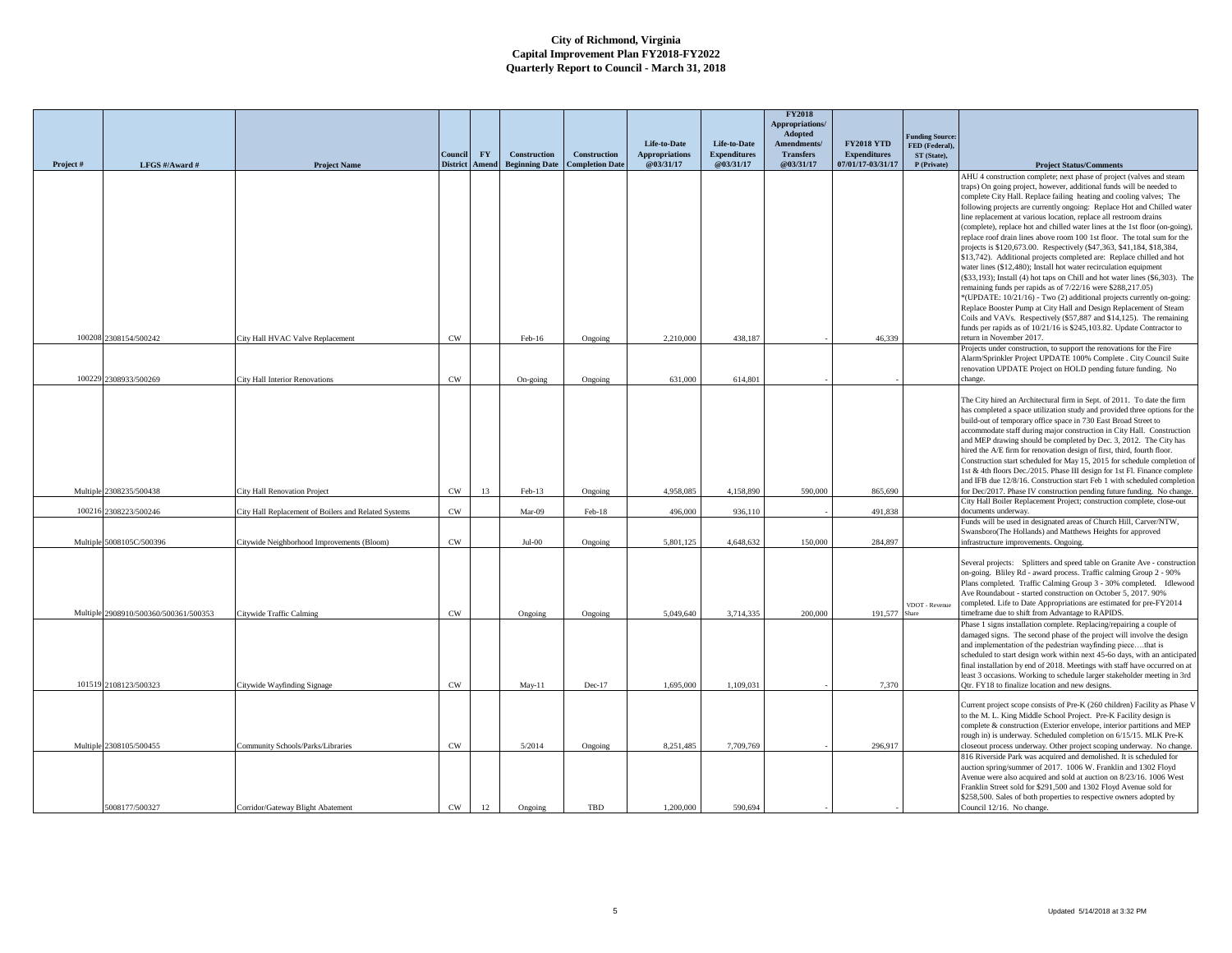|          |                              |                                                      |                            |                    |                                       |                                        |                                    |                                  | <b>FY2018</b><br>Appropriations/ |                                          |                                         |                                                                                                                                                        |
|----------|------------------------------|------------------------------------------------------|----------------------------|--------------------|---------------------------------------|----------------------------------------|------------------------------------|----------------------------------|----------------------------------|------------------------------------------|-----------------------------------------|--------------------------------------------------------------------------------------------------------------------------------------------------------|
|          |                              |                                                      |                            |                    |                                       |                                        | Life-to-Date                       | Life-to-Date                     | Adopted<br>Amendments/           | <b>FY2018 YTD</b>                        | <b>Funding Source</b><br>FED (Federal), |                                                                                                                                                        |
| Project# | LFGS #/Award #               | <b>Project Name</b>                                  | Council<br><b>District</b> | <b>FY</b><br>Amend | Construction<br><b>Beginning Date</b> | Construction<br><b>Completion Date</b> | <b>Appropriations</b><br>@03/31/17 | <b>Expenditures</b><br>@03/31/17 | <b>Transfers</b><br>@03/31/17    | <b>Expenditures</b><br>07/01/17-03/31/17 | ST (State),<br>P (Private)              | <b>Project Status/Comments</b>                                                                                                                         |
|          |                              |                                                      |                            |                    |                                       |                                        |                                    |                                  |                                  |                                          |                                         | AHU 4 construction complete; next phase of project (valves and steam<br>traps) On going project, however, additional funds will be needed to           |
|          |                              |                                                      |                            |                    |                                       |                                        |                                    |                                  |                                  |                                          |                                         | complete City Hall. Replace failing heating and cooling valves; The                                                                                    |
|          |                              |                                                      |                            |                    |                                       |                                        |                                    |                                  |                                  |                                          |                                         | following projects are currently ongoing: Replace Hot and Chilled water<br>line replacement at various location, replace all restroom drains           |
|          |                              |                                                      |                            |                    |                                       |                                        |                                    |                                  |                                  |                                          |                                         | (complete), replace hot and chilled water lines at the 1st floor (on-going),                                                                           |
|          |                              |                                                      |                            |                    |                                       |                                        |                                    |                                  |                                  |                                          |                                         | replace roof drain lines above room 100 1st floor. The total sum for the<br>projects is \$120,673.00. Respectively (\$47,363, \$41,184, \$18,384,      |
|          |                              |                                                      |                            |                    |                                       |                                        |                                    |                                  |                                  |                                          |                                         | \$13,742). Additional projects completed are: Replace chilled and hot                                                                                  |
|          |                              |                                                      |                            |                    |                                       |                                        |                                    |                                  |                                  |                                          |                                         | water lines (\$12,480); Install hot water recirculation equipment<br>(\$33,193); Install (4) hot taps on Chill and hot water lines (\$6,303). The      |
|          |                              |                                                      |                            |                    |                                       |                                        |                                    |                                  |                                  |                                          |                                         | remaining funds per rapids as of 7/22/16 were \$288,217.05)                                                                                            |
|          |                              |                                                      |                            |                    |                                       |                                        |                                    |                                  |                                  |                                          |                                         | *(UPDATE: 10/21/16) - Two (2) additional projects currently on-going:<br>Replace Booster Pump at City Hall and Design Replacement of Steam             |
|          |                              |                                                      |                            |                    |                                       |                                        |                                    |                                  |                                  |                                          |                                         | Coils and VAVs. Respectively (\$57,887 and \$14,125). The remaining<br>funds per rapids as of 10/21/16 is \$245,103.82. Update Contractor to           |
| 100208   | 2308154/500242               | City Hall HVAC Valve Replacement                     | $\mathrm{CW}$              |                    | Feb-16                                | Ongoing                                | 2,210,000                          | 438,187                          |                                  | 46,339                                   |                                         | return in November 2017.                                                                                                                               |
|          |                              |                                                      |                            |                    |                                       |                                        |                                    |                                  |                                  |                                          |                                         | Projects under construction, to support the renovations for the Fire<br>Alarm/Sprinkler Project UPDATE 100% Complete . City Council Suite              |
|          |                              |                                                      |                            |                    |                                       |                                        |                                    |                                  |                                  |                                          |                                         | renovation UPDATE Project on HOLD pending future funding. No                                                                                           |
| 100229   | 2308933/500269               | <b>City Hall Interior Renovations</b>                | CW                         |                    | On-going                              | Ongoing                                | 631,000                            | 614.801                          |                                  |                                          |                                         | change.                                                                                                                                                |
|          |                              |                                                      |                            |                    |                                       |                                        |                                    |                                  |                                  |                                          |                                         | The City hired an Architectural firm in Sept. of 2011. To date the firm                                                                                |
|          |                              |                                                      |                            |                    |                                       |                                        |                                    |                                  |                                  |                                          |                                         | has completed a space utilization study and provided three options for the<br>build-out of temporary office space in 730 East Broad Street to          |
|          |                              |                                                      |                            |                    |                                       |                                        |                                    |                                  |                                  |                                          |                                         | accommodate staff during major construction in City Hall. Construction                                                                                 |
|          |                              |                                                      |                            |                    |                                       |                                        |                                    |                                  |                                  |                                          |                                         | and MEP drawing should be completed by Dec. 3, 2012. The City has<br>hired the A/E firm for renovation design of first, third, fourth floor.           |
|          |                              |                                                      |                            |                    |                                       |                                        |                                    |                                  |                                  |                                          |                                         | Construction start scheduled for May 15, 2015 for schedule completion of<br>1st & 4th floors Dec./2015. Phase III design for 1st Fl. Finance complete  |
|          |                              |                                                      |                            |                    |                                       |                                        |                                    |                                  |                                  |                                          |                                         | and IFB due 12/8/16. Construction start Feb 1 with scheduled completion                                                                                |
| Multiple | 2308235/500438               | City Hall Renovation Project                         | $\mathrm{CW}$              | 13                 | Feb-13                                | Ongoing                                | 4.958.085                          | 4.158.890                        | 590,000                          | 865,690                                  |                                         | for Dec/2017. Phase IV construction pending future funding. No change.<br>City Hall Boiler Replacement Project; construction complete, close-out       |
| 100216   | 2308223/500246               | City Hall Replacement of Boilers and Related Systems | CW                         |                    | Mar-09                                | Feb-18                                 | 496,000                            | 936,110                          |                                  | 491,838                                  |                                         | documents underway.                                                                                                                                    |
|          |                              |                                                      |                            |                    |                                       |                                        |                                    |                                  |                                  |                                          |                                         | Funds will be used in designated areas of Church Hill, Carver/NTW,<br>Swansboro(The Hollands) and Matthews Heights for approved                        |
| Multiple | 5008105C/500396              | Citywide Neighborhood Improvements (Bloom)           | $\mathrm{CW}$              |                    | $Jul-00$                              | Ongoing                                | 5,801,125                          | 4,648,632                        | 150,000                          | 284,897                                  |                                         | infrastructure improvements. Ongoing.                                                                                                                  |
|          |                              |                                                      |                            |                    |                                       |                                        |                                    |                                  |                                  |                                          |                                         | Several projects: Splitters and speed table on Granite Ave - construction                                                                              |
|          |                              |                                                      |                            |                    |                                       |                                        |                                    |                                  |                                  |                                          |                                         | on-going. Bliley Rd - award process. Traffic calming Group 2 - 90%<br>Plans completed. Traffic Calming Group 3 - 30% completed. Idlewood               |
|          |                              |                                                      |                            |                    |                                       |                                        |                                    |                                  |                                  |                                          |                                         | Ave Roundabout - started construction on October 5, 2017. 90%                                                                                          |
| Multiple | 2908910/500360/500361/500353 | Citywide Traffic Calming                             | $_{\mbox{\scriptsize CW}}$ |                    | Ongoing                               | Ongoing                                | 5,049,640                          | 3,714,335                        | 200,000                          | 191,577                                  | VDOT - Revenue                          | completed. Life to Date Appropriations are estimated for pre-FY2014<br>timeframe due to shift from Advantage to RAPIDS.                                |
|          |                              |                                                      |                            |                    |                                       |                                        |                                    |                                  |                                  |                                          |                                         | Phase 1 signs installation complete. Replacing/repairing a couple of                                                                                   |
|          |                              |                                                      |                            |                    |                                       |                                        |                                    |                                  |                                  |                                          |                                         | damaged signs. The second phase of the project will involve the design<br>and implementation of the pedestrian wayfinding piecethat is                 |
|          |                              |                                                      |                            |                    |                                       |                                        |                                    |                                  |                                  |                                          |                                         | scheduled to start design work within next 45-60 days, with an anticipated                                                                             |
|          |                              |                                                      |                            |                    |                                       |                                        |                                    |                                  |                                  |                                          |                                         | final installation by end of 2018. Meetings with staff have occurred on at<br>least 3 occasions. Working to schedule larger stakeholder meeting in 3rd |
|          | 101519 2108123/500323        | Citywide Wayfinding Signage                          | CW                         |                    | $Mav-11$                              | $Dec-17$                               | 1,695,000                          | 1.109.031                        |                                  | 7,370                                    |                                         | Otr. FY18 to finalize location and new designs.                                                                                                        |
|          |                              |                                                      |                            |                    |                                       |                                        |                                    |                                  |                                  |                                          |                                         | Current project scope consists of Pre-K (260 children) Facility as Phase V                                                                             |
|          |                              |                                                      |                            |                    |                                       |                                        |                                    |                                  |                                  |                                          |                                         | to the M. L. King Middle School Project. Pre-K Facility design is<br>complete & construction (Exterior envelope, interior partitions and MEP           |
|          |                              |                                                      |                            |                    |                                       |                                        |                                    |                                  |                                  |                                          |                                         | rough in) is underway. Scheduled completion on 6/15/15. MLK Pre-K                                                                                      |
|          | Multiple 2308105/500455      | Community Schools/Parks/Libraries                    | CW                         |                    | 5/2014                                | Ongoing                                | 8,251,485                          | 7,709,769                        |                                  | 296,917                                  |                                         | closeout process underway. Other project scoping underway. No change.<br>816 Riverside Park was acquired and demolished. It is scheduled for           |
|          |                              |                                                      |                            |                    |                                       |                                        |                                    |                                  |                                  |                                          |                                         | auction spring/summer of 2017. 1006 W. Franklin and 1302 Floyd                                                                                         |
|          |                              |                                                      |                            |                    |                                       |                                        |                                    |                                  |                                  |                                          |                                         | Avenue were also acquired and sold at auction on 8/23/16. 1006 West<br>Franklin Street sold for \$291,500 and 1302 Floyd Avenue sold for               |
|          | 5008177/500327               | Corridor/Gateway Blight Abatement                    | CW                         | 12                 | Ongoing                               | TBD                                    | 1.200,000                          | 590.694                          |                                  |                                          |                                         | \$258,500. Sales of both properties to respective owners adopted by<br>Council 12/16. No change.                                                       |
|          |                              |                                                      |                            |                    |                                       |                                        |                                    |                                  |                                  |                                          |                                         |                                                                                                                                                        |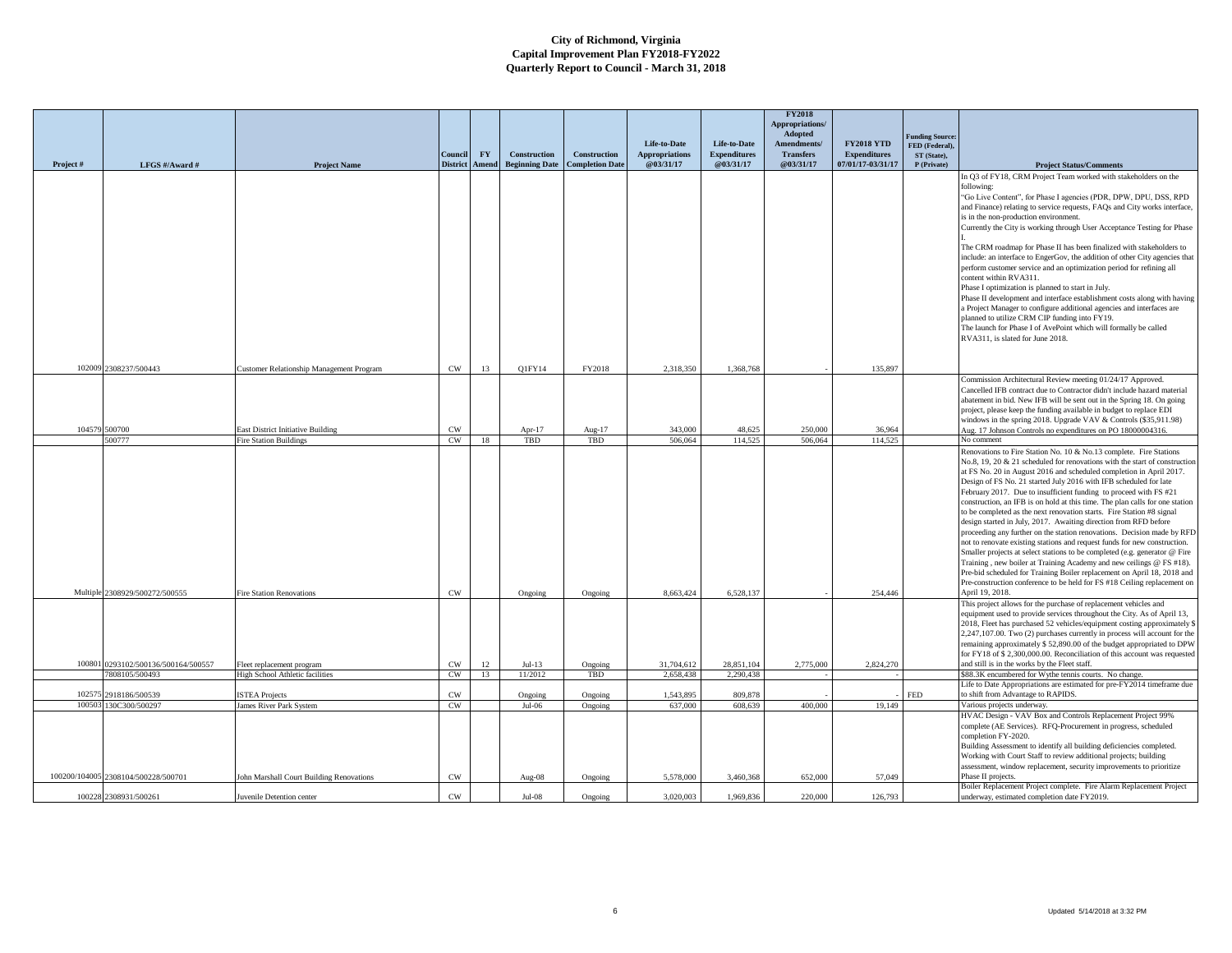|          |                                     |                                                                    |                                  |           |                       |                        |                                       |                                     | <b>FY2018</b><br><b>Appropriations/</b><br>Adopted |                                          | <b>Funding Source:</b>        |                                                                                                                                                  |
|----------|-------------------------------------|--------------------------------------------------------------------|----------------------------------|-----------|-----------------------|------------------------|---------------------------------------|-------------------------------------|----------------------------------------------------|------------------------------------------|-------------------------------|--------------------------------------------------------------------------------------------------------------------------------------------------|
|          |                                     |                                                                    | Council                          | <b>FY</b> | <b>Construction</b>   | Construction           | Life-to-Date<br><b>Appropriations</b> | Life-to-Date<br><b>Expenditures</b> | Amendments/<br><b>Transfers</b>                    | <b>FY2018 YTD</b><br><b>Expenditures</b> | FED (Federal),<br>ST (State), |                                                                                                                                                  |
| Project# | LFGS #/Award #                      | <b>Project Name</b>                                                | <b>District</b>                  | Amend     | <b>Beginning Date</b> | <b>Completion Date</b> | @03/31/17                             | @03/31/17                           | @03/31/17                                          | 07/01/17-03/31/17                        | P (Private)                   | <b>Project Status/Comments</b>                                                                                                                   |
|          |                                     |                                                                    |                                  |           |                       |                        |                                       |                                     |                                                    |                                          |                               | In Q3 of FY18, CRM Project Team worked with stakeholders on the                                                                                  |
|          |                                     |                                                                    |                                  |           |                       |                        |                                       |                                     |                                                    |                                          |                               | following:<br>"Go Live Content", for Phase I agencies (PDR, DPW, DPU, DSS, RPD                                                                   |
|          |                                     |                                                                    |                                  |           |                       |                        |                                       |                                     |                                                    |                                          |                               | and Finance) relating to service requests, FAQs and City works interface,                                                                        |
|          |                                     |                                                                    |                                  |           |                       |                        |                                       |                                     |                                                    |                                          |                               | is in the non-production environment.                                                                                                            |
|          |                                     |                                                                    |                                  |           |                       |                        |                                       |                                     |                                                    |                                          |                               | Currently the City is working through User Acceptance Testing for Phase                                                                          |
|          |                                     |                                                                    |                                  |           |                       |                        |                                       |                                     |                                                    |                                          |                               | The CRM roadmap for Phase II has been finalized with stakeholders to                                                                             |
|          |                                     |                                                                    |                                  |           |                       |                        |                                       |                                     |                                                    |                                          |                               | include: an interface to EngerGov, the addition of other City agencies that                                                                      |
|          |                                     |                                                                    |                                  |           |                       |                        |                                       |                                     |                                                    |                                          |                               | perform customer service and an optimization period for refining all                                                                             |
|          |                                     |                                                                    |                                  |           |                       |                        |                                       |                                     |                                                    |                                          |                               | content within RVA311.<br>Phase I optimization is planned to start in July.                                                                      |
|          |                                     |                                                                    |                                  |           |                       |                        |                                       |                                     |                                                    |                                          |                               | Phase II development and interface establishment costs along with having                                                                         |
|          |                                     |                                                                    |                                  |           |                       |                        |                                       |                                     |                                                    |                                          |                               | a Project Manager to configure additional agencies and interfaces are                                                                            |
|          |                                     |                                                                    |                                  |           |                       |                        |                                       |                                     |                                                    |                                          |                               | planned to utilize CRM CIP funding into FY19.<br>The launch for Phase I of AvePoint which will formally be called                                |
|          |                                     |                                                                    |                                  |           |                       |                        |                                       |                                     |                                                    |                                          |                               | RVA311, is slated for June 2018.                                                                                                                 |
|          |                                     |                                                                    |                                  |           |                       |                        |                                       |                                     |                                                    |                                          |                               |                                                                                                                                                  |
|          | 102009 2308237/500443               | Customer Relationship Management Program                           | CW                               | 13        | Q1FY14                | FY2018                 | 2,318,350                             | 1,368,768                           |                                                    | 135,897                                  |                               |                                                                                                                                                  |
|          |                                     |                                                                    |                                  |           |                       |                        |                                       |                                     |                                                    |                                          |                               | Commission Architectural Review meeting 01/24/17 Approved.<br>Cancelled IFB contract due to Contractor didn't include hazard material            |
|          |                                     |                                                                    |                                  |           |                       |                        |                                       |                                     |                                                    |                                          |                               | abatement in bid. New IFB will be sent out in the Spring 18. On going                                                                            |
|          |                                     |                                                                    |                                  |           |                       |                        |                                       |                                     |                                                    |                                          |                               | project, please keep the funding available in budget to replace EDI                                                                              |
|          | 104579 500700                       |                                                                    |                                  |           |                       |                        |                                       |                                     |                                                    |                                          |                               | windows in the spring 2018. Upgrade VAV & Controls (\$35,911.98)                                                                                 |
|          | 500777                              | East District Initiative Building<br><b>Fire Station Buildings</b> | $_{\mbox{\scriptsize CW}}$<br>CW | 18        | Apr- $17$<br>TBD      | Aug-17<br>TBD          | 343,000<br>506,064                    | 48,625<br>114,525                   | 250,000<br>506,064                                 | 36,964<br>114,525                        |                               | Aug. 17 Johnson Controls no expenditures on PO 18000004316.<br>No comment                                                                        |
|          |                                     |                                                                    |                                  |           |                       |                        |                                       |                                     |                                                    |                                          |                               | Renovations to Fire Station No. 10 & No.13 complete. Fire Stations                                                                               |
|          |                                     |                                                                    |                                  |           |                       |                        |                                       |                                     |                                                    |                                          |                               | No.8, 19, 20 & 21 scheduled for renovations with the start of construction                                                                       |
|          |                                     |                                                                    |                                  |           |                       |                        |                                       |                                     |                                                    |                                          |                               | at FS No. 20 in August 2016 and scheduled completion in April 2017.<br>Design of FS No. 21 started July 2016 with IFB scheduled for late         |
|          |                                     |                                                                    |                                  |           |                       |                        |                                       |                                     |                                                    |                                          |                               | February 2017. Due to insufficient funding to proceed with FS #21                                                                                |
|          |                                     |                                                                    |                                  |           |                       |                        |                                       |                                     |                                                    |                                          |                               | construction, an IFB is on hold at this time. The plan calls for one station                                                                     |
|          |                                     |                                                                    |                                  |           |                       |                        |                                       |                                     |                                                    |                                          |                               | to be completed as the next renovation starts. Fire Station #8 signal<br>design started in July, 2017. Awaiting direction from RFD before        |
|          |                                     |                                                                    |                                  |           |                       |                        |                                       |                                     |                                                    |                                          |                               | proceeding any further on the station renovations. Decision made by RFD                                                                          |
|          |                                     |                                                                    |                                  |           |                       |                        |                                       |                                     |                                                    |                                          |                               | not to renovate existing stations and request funds for new construction.                                                                        |
|          |                                     |                                                                    |                                  |           |                       |                        |                                       |                                     |                                                    |                                          |                               | Smaller projects at select stations to be completed (e.g. generator @ Fire                                                                       |
|          |                                     |                                                                    |                                  |           |                       |                        |                                       |                                     |                                                    |                                          |                               | Training, new boiler at Training Academy and new ceilings @ FS #18).<br>Pre-bid scheduled for Training Boiler replacement on April 18, 2018 and  |
|          |                                     |                                                                    |                                  |           |                       |                        |                                       |                                     |                                                    |                                          |                               | Pre-construction conference to be held for FS #18 Ceiling replacement on                                                                         |
|          | Multiple 2308929/500272/500555      | <b>Fire Station Renovations</b>                                    | CW                               |           | Ongoing               | Ongoing                | 8.663.424                             | 6.528.137                           |                                                    | 254,446                                  |                               | April 19, 2018.                                                                                                                                  |
|          |                                     |                                                                    |                                  |           |                       |                        |                                       |                                     |                                                    |                                          |                               | This project allows for the purchase of replacement vehicles and<br>equipment used to provide services throughout the City. As of April 13,      |
|          |                                     |                                                                    |                                  |           |                       |                        |                                       |                                     |                                                    |                                          |                               | 2018, Fleet has purchased 52 vehicles/equipment costing approximately \$                                                                         |
|          |                                     |                                                                    |                                  |           |                       |                        |                                       |                                     |                                                    |                                          |                               | 2,247,107.00. Two (2) purchases currently in process will account for the                                                                        |
|          |                                     |                                                                    |                                  |           |                       |                        |                                       |                                     |                                                    |                                          |                               | emaining approximately \$52,890.00 of the budget appropriated to DPW<br>for FY18 of \$2,300,000.00. Reconciliation of this account was requested |
| 100801   | 0293102/500136/500164/500557        | Fleet replacement program                                          | CW.                              | 12        | $Jul-13$              | Ongoing                | 31,704,612                            | 28.851.104                          | 2,775,000                                          | 2,824,270                                |                               | and still is in the works by the Fleet staff.                                                                                                    |
|          | 7808105/500493                      | High School Athletic facilities                                    | CW                               | 13        | 11/2012               | TBD                    | 2.658.438                             | 2.290.438                           |                                                    |                                          |                               | \$88.3K encumbered for Wythe tennis courts. No change.                                                                                           |
| 102575   | 2918186/500539                      | <b>ISTEA Projects</b>                                              | $_{\mbox{\scriptsize CW}}$       |           | Ongoing               | Ongoing                | 1,543,895                             | 809,878                             |                                                    |                                          | <b>FED</b>                    | Life to Date Appropriations are estimated for pre-FY2014 timeframe due<br>to shift from Advantage to RAPIDS.                                     |
| 100503   | 130C300/500297                      | James River Park System                                            | CW                               |           | $Jul-06$              | Ongoing                | 637,000                               | 608,639                             | 400,000                                            | 19,149                                   |                               | Various projects underway.                                                                                                                       |
|          |                                     |                                                                    |                                  |           |                       |                        |                                       |                                     |                                                    |                                          |                               | HVAC Design - VAV Box and Controls Replacement Project 99%                                                                                       |
|          |                                     |                                                                    |                                  |           |                       |                        |                                       |                                     |                                                    |                                          |                               | complete (AE Services). RFQ-Procurement in progress, scheduled                                                                                   |
|          |                                     |                                                                    |                                  |           |                       |                        |                                       |                                     |                                                    |                                          |                               | completion FY-2020.<br>Building Assessment to identify all building deficiencies completed.                                                      |
|          |                                     |                                                                    |                                  |           |                       |                        |                                       |                                     |                                                    |                                          |                               | Working with Court Staff to review additional projects; building                                                                                 |
|          |                                     |                                                                    |                                  |           |                       |                        |                                       |                                     |                                                    |                                          |                               | assessment, window replacement, security improvements to prioritize                                                                              |
|          | 100200/104005 2308104/500228/500701 | John Marshall Court Building Renovations                           | $\mathrm{CW}$                    |           | Aug-08                | Ongoing                | 5,578,000                             | 3.460,368                           | 652,000                                            | 57,049                                   |                               | Phase II projects.<br>Boiler Replacement Project complete. Fire Alarm Replacement Project                                                        |
|          | 100228 2308931/500261               | Juvenile Detention center                                          | CW                               |           | $Jul-08$              | Ongoing                | 3,020,003                             | 1,969,836                           | 220,000                                            | 126,793                                  |                               | underway, estimated completion date FY2019.                                                                                                      |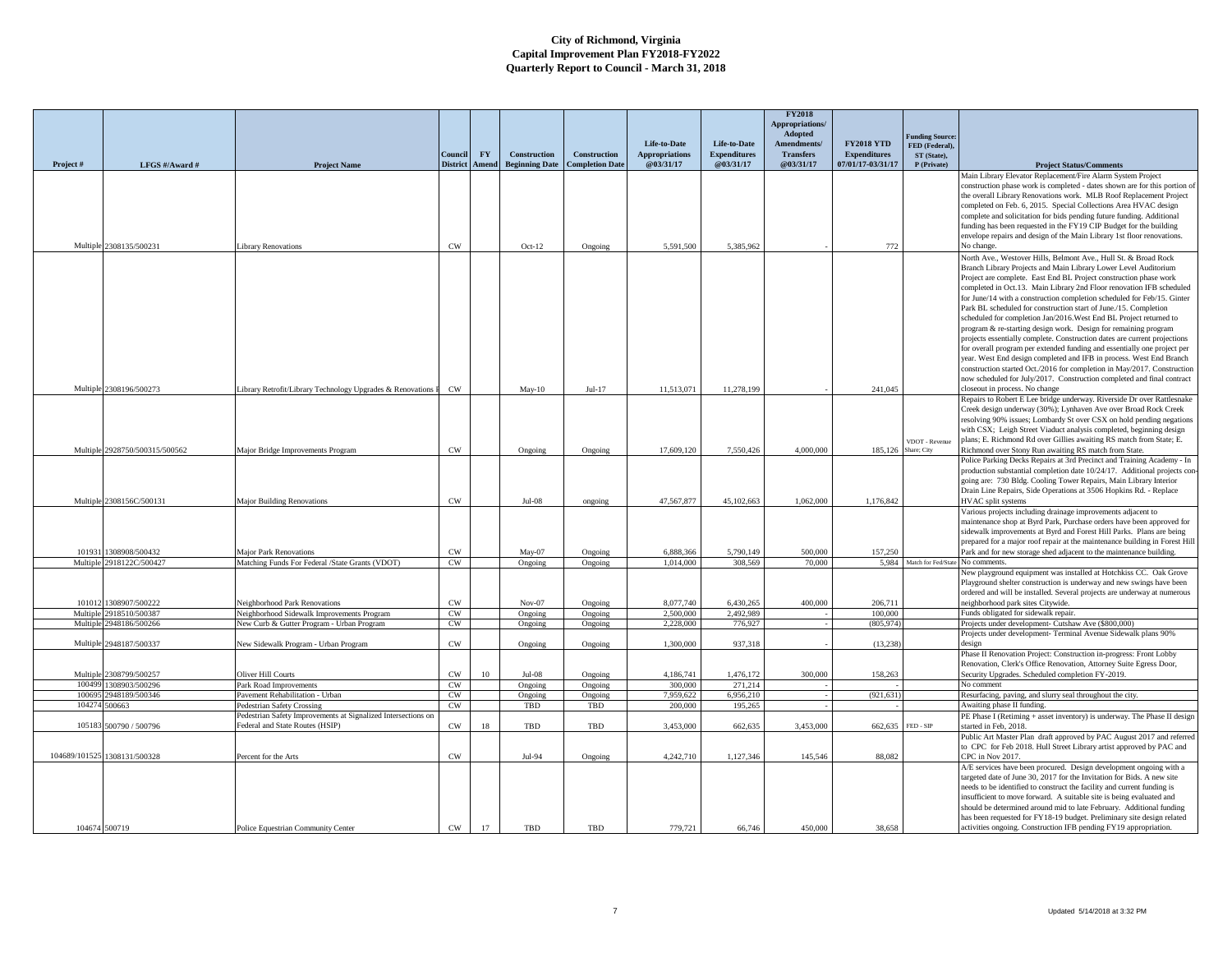|                      |                                  |                                                                                                    |                     |                  |                       |                        |                        |                      | <b>FY2018</b><br>Appropriations/ |                     |                                        |                                                                                                                                                       |
|----------------------|----------------------------------|----------------------------------------------------------------------------------------------------|---------------------|------------------|-----------------------|------------------------|------------------------|----------------------|----------------------------------|---------------------|----------------------------------------|-------------------------------------------------------------------------------------------------------------------------------------------------------|
|                      |                                  |                                                                                                    |                     |                  |                       |                        | Life-to-Date           | Life-to-Date         | Adopted<br>Amendments/           | <b>FY2018 YTD</b>   | unding Source:                         |                                                                                                                                                       |
|                      |                                  |                                                                                                    | Conneil             | ${\bf F}{\bf Y}$ | <b>Construction</b>   | <b>Construction</b>    | <b>Appropriations</b>  | <b>Expenditures</b>  | <b>Transfers</b>                 | <b>Expenditures</b> | FED (Federal),<br>ST (State).          |                                                                                                                                                       |
| Project#             | LFGS #/Award #                   | <b>Project Name</b>                                                                                | <b>District</b>     | Amend            | <b>Beginning Date</b> | <b>Completion Date</b> | @03/31/17              | @03/31/17            | @03/31/17                        | 07/01/17-03/31/17   | P (Private)                            | <b>Project Status/Comments</b>                                                                                                                        |
|                      |                                  |                                                                                                    |                     |                  |                       |                        |                        |                      |                                  |                     |                                        | Main Library Elevator Replacement/Fire Alarm System Project                                                                                           |
|                      |                                  |                                                                                                    |                     |                  |                       |                        |                        |                      |                                  |                     |                                        | construction phase work is completed - dates shown are for this portion of                                                                            |
|                      |                                  |                                                                                                    |                     |                  |                       |                        |                        |                      |                                  |                     |                                        | the overall Library Renovations work. MLB Roof Replacement Project                                                                                    |
|                      |                                  |                                                                                                    |                     |                  |                       |                        |                        |                      |                                  |                     |                                        | completed on Feb. 6, 2015. Special Collections Area HVAC design                                                                                       |
|                      |                                  |                                                                                                    |                     |                  |                       |                        |                        |                      |                                  |                     |                                        | complete and solicitation for bids pending future funding. Additional                                                                                 |
|                      |                                  |                                                                                                    |                     |                  |                       |                        |                        |                      |                                  |                     |                                        | funding has been requested in the FY19 CIP Budget for the building<br>envelope repairs and design of the Main Library 1st floor renovations.          |
|                      | Multiple 2308135/500231          | Library Renovations                                                                                | CW                  |                  | $Oct-12$              | Ongoing                | 5,591,500              | 5,385,962            |                                  | 772                 |                                        | No change.                                                                                                                                            |
|                      |                                  |                                                                                                    |                     |                  |                       |                        |                        |                      |                                  |                     |                                        | North Ave., Westover Hills, Belmont Ave., Hull St. & Broad Rock                                                                                       |
|                      |                                  |                                                                                                    |                     |                  |                       |                        |                        |                      |                                  |                     |                                        | Branch Library Projects and Main Library Lower Level Auditorium                                                                                       |
|                      |                                  |                                                                                                    |                     |                  |                       |                        |                        |                      |                                  |                     |                                        | Project are complete. East End BL Project construction phase work                                                                                     |
|                      |                                  |                                                                                                    |                     |                  |                       |                        |                        |                      |                                  |                     |                                        | completed in Oct.13. Main Library 2nd Floor renovation IFB scheduled                                                                                  |
|                      |                                  |                                                                                                    |                     |                  |                       |                        |                        |                      |                                  |                     |                                        | for June/14 with a construction completion scheduled for Feb/15. Ginter                                                                               |
|                      |                                  |                                                                                                    |                     |                  |                       |                        |                        |                      |                                  |                     |                                        | Park BL scheduled for construction start of June./15. Completion                                                                                      |
|                      |                                  |                                                                                                    |                     |                  |                       |                        |                        |                      |                                  |                     |                                        | scheduled for completion Jan/2016. West End BL Project returned to                                                                                    |
|                      |                                  |                                                                                                    |                     |                  |                       |                        |                        |                      |                                  |                     |                                        | program & re-starting design work. Design for remaining program                                                                                       |
|                      |                                  |                                                                                                    |                     |                  |                       |                        |                        |                      |                                  |                     |                                        | projects essentially complete. Construction dates are current projections<br>for overall program per extended funding and essentially one project per |
|                      |                                  |                                                                                                    |                     |                  |                       |                        |                        |                      |                                  |                     |                                        | year. West End design completed and IFB in process. West End Branch                                                                                   |
|                      |                                  |                                                                                                    |                     |                  |                       |                        |                        |                      |                                  |                     |                                        | construction started Oct./2016 for completion in May/2017. Construction                                                                               |
|                      |                                  |                                                                                                    |                     |                  |                       |                        |                        |                      |                                  |                     |                                        | now scheduled for July/2017. Construction completed and final contract                                                                                |
|                      | Multiple 2308196/500273          | Library Retrofit/Library Technology Upgrades & Renovations                                         | <b>CW</b>           |                  | $May-10$              | $Jul-17$               | 11,513,071             | 11,278,199           |                                  | 241,045             |                                        | closeout in process. No change                                                                                                                        |
|                      |                                  |                                                                                                    |                     |                  |                       |                        |                        |                      |                                  |                     |                                        | Repairs to Robert E Lee bridge underway. Riverside Dr over Rattlesnake                                                                                |
|                      |                                  |                                                                                                    |                     |                  |                       |                        |                        |                      |                                  |                     |                                        | Creek design underway (30%); Lynhaven Ave over Broad Rock Creek                                                                                       |
|                      |                                  |                                                                                                    |                     |                  |                       |                        |                        |                      |                                  |                     |                                        | resolving 90% issues; Lombardy St over CSX on hold pending negations                                                                                  |
|                      |                                  |                                                                                                    |                     |                  |                       |                        |                        |                      |                                  |                     |                                        | with CSX; Leigh Street Viaduct analysis completed, beginning design                                                                                   |
|                      | Multiple 2928750/500315/500562   | Major Bridge Improvements Program                                                                  | <b>CW</b>           |                  | Ongoing               | Ongoing                | 17,609,120             | 7,550,426            | 4,000,000                        | 185,126             | VDOT - Revenue<br>Share; City          | plans; E. Richmond Rd over Gillies awaiting RS match from State; E.<br>Richmond over Stony Run awaiting RS match from State.                          |
|                      |                                  |                                                                                                    |                     |                  |                       |                        |                        |                      |                                  |                     |                                        | Police Parking Decks Repairs at 3rd Precinct and Training Academy - In                                                                                |
|                      |                                  |                                                                                                    |                     |                  |                       |                        |                        |                      |                                  |                     |                                        | production substantial completion date 10/24/17. Additional projects con                                                                              |
|                      |                                  |                                                                                                    |                     |                  |                       |                        |                        |                      |                                  |                     |                                        | going are: 730 Bldg. Cooling Tower Repairs, Main Library Interior                                                                                     |
|                      |                                  |                                                                                                    |                     |                  |                       |                        |                        |                      |                                  |                     |                                        | Drain Line Repairs, Side Operations at 3506 Hopkins Rd. - Replace                                                                                     |
|                      | Multiple 2308156C/500131         | Major Building Renovations                                                                         | CW                  |                  | $Jul-08$              | ongoing                | 47,567,877             | 45,102,663           | 1,062,000                        | 1,176,842           |                                        | HVAC split systems                                                                                                                                    |
|                      |                                  |                                                                                                    |                     |                  |                       |                        |                        |                      |                                  |                     |                                        | Various projects including drainage improvements adjacent to                                                                                          |
|                      |                                  |                                                                                                    |                     |                  |                       |                        |                        |                      |                                  |                     |                                        | maintenance shop at Byrd Park, Purchase orders have been approved for                                                                                 |
|                      |                                  |                                                                                                    |                     |                  |                       |                        |                        |                      |                                  |                     |                                        | sidewalk improvements at Byrd and Forest Hill Parks. Plans are being<br>prepared for a major roof repair at the maintenance building in Forest Hill   |
| 101931               | 1308908/500432                   | <b>Major Park Renovations</b>                                                                      | CW                  |                  | May-07                | Ongoing                | 6,888,366              | 5,790,149            | 500,000                          | 157,250             |                                        | Park and for new storage shed adjacent to the maintenance building.                                                                                   |
|                      | Multiple 2918122C/500427         | Matching Funds For Federal /State Grants (VDOT)                                                    | CW                  |                  | Ongoing               | Ongoing                | 1,014,000              | 308.569              | 70,000                           |                     | 5,984 Match for Fed/State No comments. |                                                                                                                                                       |
|                      |                                  |                                                                                                    |                     |                  |                       |                        |                        |                      |                                  |                     |                                        | New playground equipment was installed at Hotchkiss CC. Oak Grove                                                                                     |
|                      |                                  |                                                                                                    |                     |                  |                       |                        |                        |                      |                                  |                     |                                        | Playground shelter construction is underway and new swings have been                                                                                  |
|                      |                                  |                                                                                                    |                     |                  |                       |                        |                        |                      |                                  |                     |                                        | ordered and will be installed. Several projects are underway at numerous                                                                              |
| 101012               | 1308907/500222                   | Neighborhood Park Renovations                                                                      | CW                  |                  | $Nov-07$              | Ongoing                | 8,077,740              | 6.430.265            | 400,000                          | 206,711             |                                        | neighborhood park sites Citywide.                                                                                                                     |
| Multiple<br>Multiple | 2918510/500387<br>2948186/500266 | Neighborhood Sidewalk Improvements Program<br>New Curb & Gutter Program - Urban Program            | $\mathrm{CW}$<br>CW |                  | Ongoing<br>Ongoing    | Ongoing<br>Ongoing     | 2,500,000<br>2.228,000 | 2.492.989<br>776,927 |                                  | 100,000<br>(805.974 |                                        | Funds obligated for sidewalk repair<br>Projects under development- Cutshaw Ave (\$800,000)                                                            |
|                      |                                  |                                                                                                    |                     |                  |                       |                        |                        |                      |                                  |                     |                                        | Projects under development- Terminal Avenue Sidewalk plans 90%                                                                                        |
|                      | Multiple 2948187/500337          | New Sidewalk Program - Urban Program                                                               | CW                  |                  | Ongoing               | Ongoing                | 1,300,000              | 937,318              |                                  | (13, 238)           |                                        | design                                                                                                                                                |
|                      |                                  |                                                                                                    |                     |                  |                       |                        |                        |                      |                                  |                     |                                        | Phase II Renovation Project: Construction in-progress: Front Lobby                                                                                    |
|                      |                                  |                                                                                                    |                     |                  |                       |                        |                        |                      |                                  |                     |                                        | Renovation, Clerk's Office Renovation, Attorney Suite Egress Door,                                                                                    |
| Multiple             | 2308799/500257                   | Oliver Hill Courts                                                                                 | $\mathrm{CW}$       | 10 <sup>°</sup>  | $Jul-08$              | Ongoing                | 4,186,741              | 1,476,172            | 300,000                          | 158,263             |                                        | Security Upgrades. Scheduled completion FY-2019                                                                                                       |
| 100499               | 1308903/500296                   | Park Road Improvements                                                                             | CW                  |                  | Ongoing               | Ongoing                | 300,000                | 271,214              |                                  |                     |                                        | No comment                                                                                                                                            |
| 100695               | 2948189/500346                   | Pavement Rehabilitation - Urban                                                                    | CW                  |                  | Ongoing               | Ongoing                | 7,959,622              | 6,956,210            |                                  | (921, 631)          |                                        | Resurfacing, paving, and slurry seal throughout the city.                                                                                             |
| 104274               | 500663                           | <b>Pedestrian Safety Crossing</b><br>Pedestrian Safety Improvements at Signalized Intersections on | CW                  |                  | TBD                   | TBD                    | 200,000                | 195,265              |                                  |                     |                                        | Awaiting phase II funding.                                                                                                                            |
| 105183               | 500790 / 500796                  | Federal and State Routes (HSIP)                                                                    | CW                  | 18               | TBD                   | TBD                    | 3,453,000              | 662,635              | 3,453,000                        | 662,635             | FED - SIP                              | PE Phase I (Retiming + asset inventory) is underway. The Phase II design<br>started in Feb, 2018.                                                     |
|                      |                                  |                                                                                                    |                     |                  |                       |                        |                        |                      |                                  |                     |                                        | Public Art Master Plan draft approved by PAC August 2017 and referred                                                                                 |
|                      |                                  |                                                                                                    |                     |                  |                       |                        |                        |                      |                                  |                     |                                        | to CPC for Feb 2018. Hull Street Library artist approved by PAC and                                                                                   |
|                      | 104689/101525 1308131/500328     | Percent for the Arts                                                                               | CW                  |                  | Jul-94                | Ongoing                | 4,242,710              | 1,127,346            | 145,546                          | 88,082              |                                        | CPC in Nov 2017.                                                                                                                                      |
|                      |                                  |                                                                                                    |                     |                  |                       |                        |                        |                      |                                  |                     |                                        | A/E services have been procured. Design development ongoing with a                                                                                    |
|                      |                                  |                                                                                                    |                     |                  |                       |                        |                        |                      |                                  |                     |                                        | targeted date of June 30, 2017 for the Invitation for Bids. A new site                                                                                |
|                      |                                  |                                                                                                    |                     |                  |                       |                        |                        |                      |                                  |                     |                                        | needs to be identified to construct the facility and current funding is                                                                               |
|                      |                                  |                                                                                                    |                     |                  |                       |                        |                        |                      |                                  |                     |                                        | insufficient to move forward. A suitable site is being evaluated and                                                                                  |
|                      |                                  |                                                                                                    |                     |                  |                       |                        |                        |                      |                                  |                     |                                        | should be determined around mid to late February. Additional funding                                                                                  |
|                      | 104674 500719                    | Police Equestrian Community Center                                                                 | CW                  | 17               | TBD                   | TBD                    | 779,721                | 66.746               | 450.000                          | 38.658              |                                        | has been requested for FY18-19 budget. Preliminary site design related<br>activities ongoing. Construction IFB pending FY19 appropriation.            |
|                      |                                  |                                                                                                    |                     |                  |                       |                        |                        |                      |                                  |                     |                                        |                                                                                                                                                       |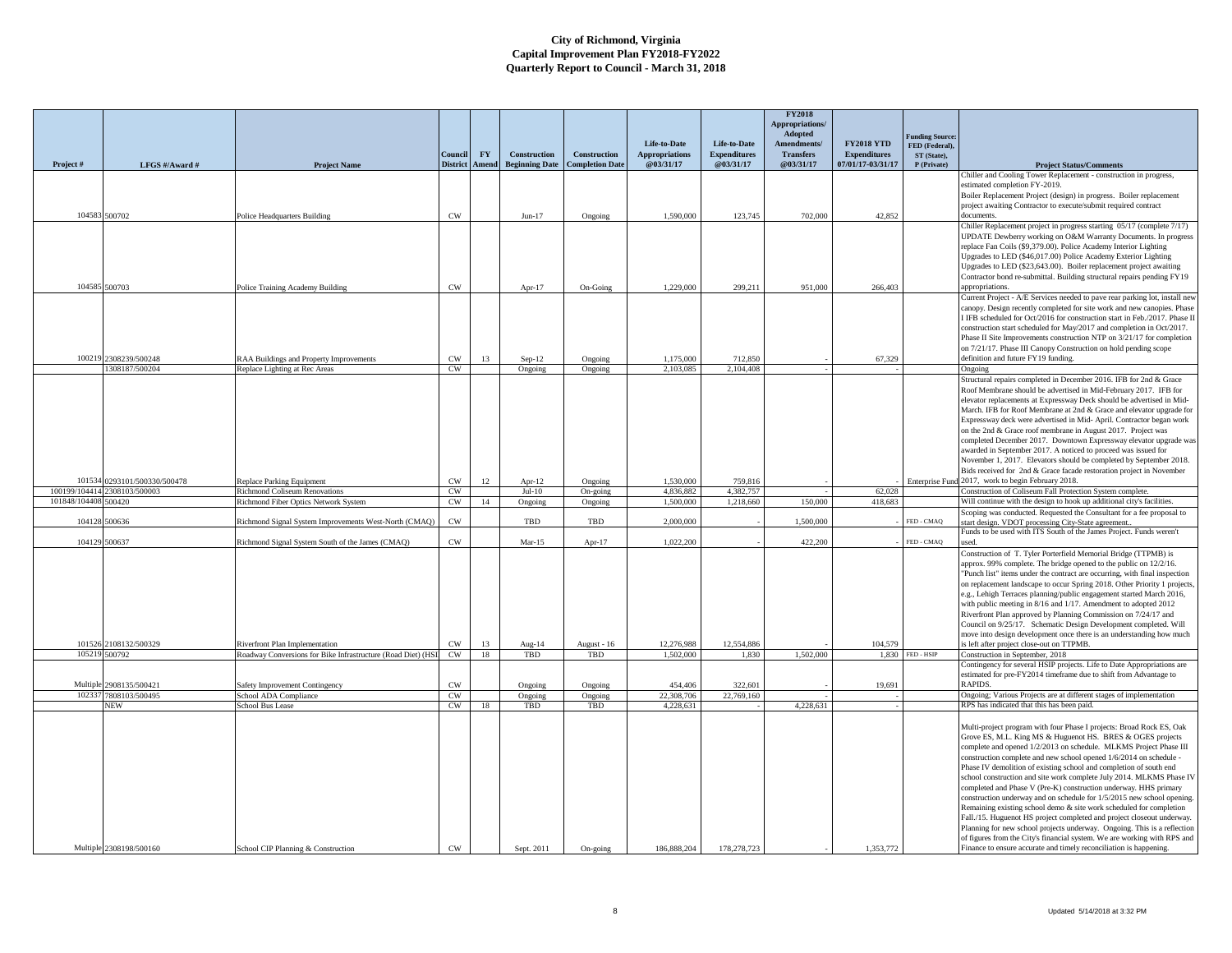|               |                       |                                                              |                 |           |                       |                        |                       |                     | <b>FY2018</b><br>Appropriations/ |                     |                               |                                                                                                                                                         |
|---------------|-----------------------|--------------------------------------------------------------|-----------------|-----------|-----------------------|------------------------|-----------------------|---------------------|----------------------------------|---------------------|-------------------------------|---------------------------------------------------------------------------------------------------------------------------------------------------------|
|               |                       |                                                              |                 |           |                       |                        | Life-to-Date          | Life-to-Date        | Adopted<br>Amendments/           | <b>FY2018 YTD</b>   | <b>Funding Source</b>         |                                                                                                                                                         |
|               |                       |                                                              | Council         | <b>FY</b> | Construction          | Construction           | <b>Appropriations</b> | <b>Expenditures</b> | <b>Transfers</b>                 | <b>Expenditures</b> | FED (Federal),<br>ST (State), |                                                                                                                                                         |
| Project#      | LFGS #/Award #        | <b>Project Name</b>                                          | <b>District</b> | Amend     | <b>Beginning Date</b> | <b>Completion Date</b> | @03/31/17             | @03/31/17           | @03/31/17                        | 07/01/17-03/31/17   | P (Private)                   | <b>Project Status/Comments</b>                                                                                                                          |
|               |                       |                                                              |                 |           |                       |                        |                       |                     |                                  |                     |                               | Chiller and Cooling Tower Replacement - construction in progress<br>estimated completion FY-2019.                                                       |
|               |                       |                                                              |                 |           |                       |                        |                       |                     |                                  |                     |                               | Boiler Replacement Project (design) in progress. Boiler replacement                                                                                     |
|               |                       |                                                              |                 |           |                       |                        |                       |                     |                                  |                     |                               | project awaiting Contractor to execute/submit required contract                                                                                         |
| 104583        | 500702                | <b>Police Headquarters Building</b>                          | <b>CW</b>       |           | $Jun-17$              | Ongoing                | 1,590,000             | 123,745             | 702,000                          | 42.852              |                               | documents.                                                                                                                                              |
|               |                       |                                                              |                 |           |                       |                        |                       |                     |                                  |                     |                               | Chiller Replacement project in progress starting 05/17 (complete 7/17)                                                                                  |
|               |                       |                                                              |                 |           |                       |                        |                       |                     |                                  |                     |                               | UPDATE Dewberry working on O&M Warranty Documents. In progress<br>replace Fan Coils (\$9,379.00). Police Academy Interior Lighting                      |
|               |                       |                                                              |                 |           |                       |                        |                       |                     |                                  |                     |                               | Upgrades to LED (\$46,017.00) Police Academy Exterior Lighting                                                                                          |
|               |                       |                                                              |                 |           |                       |                        |                       |                     |                                  |                     |                               | Upgrades to LED (\$23,643.00). Boiler replacement project awaiting                                                                                      |
| 104585        | 500703                | Police Training Academy Building                             | $\mathrm{CW}$   |           | Apr-17                | On-Going               | 1,229,000             | 299,211             | 951,000                          | 266,403             |                               | Contractor bond re-submittal. Building structural repairs pending FY19<br>appropriations.                                                               |
|               |                       |                                                              |                 |           |                       |                        |                       |                     |                                  |                     |                               | Current Project - A/E Services needed to pave rear parking lot, install nev                                                                             |
|               |                       |                                                              |                 |           |                       |                        |                       |                     |                                  |                     |                               | canopy. Design recently completed for site work and new canopies. Phase                                                                                 |
|               |                       |                                                              |                 |           |                       |                        |                       |                     |                                  |                     |                               | I IFB scheduled for Oct/2016 for construction start in Feb./2017. Phase II                                                                              |
|               |                       |                                                              |                 |           |                       |                        |                       |                     |                                  |                     |                               | construction start scheduled for May/2017 and completion in Oct/2017.<br>Phase II Site Improvements construction NTP on 3/21/17 for completion          |
|               |                       |                                                              |                 |           |                       |                        |                       |                     |                                  |                     |                               | on 7/21/17. Phase III Canopy Construction on hold pending scope                                                                                         |
| 100219        | 2308239/500248        | RAA Buildings and Property Improvements                      | $\rm{CW}$       | 13        | $Sep-12$              | Ongoing                | 1.175.000             | 712,850             |                                  | 67.329              |                               | definition and future FY19 funding.                                                                                                                     |
|               | 308187/500204         | Replace Lighting at Rec Areas                                | CW              |           | Ongoing               | Ongoing                | 2.103.085             | 2.104.408           |                                  |                     |                               | Ongoing                                                                                                                                                 |
|               |                       |                                                              |                 |           |                       |                        |                       |                     |                                  |                     |                               | Structural repairs completed in December 2016. IFB for 2nd & Grace<br>Roof Membrane should be advertised in Mid-February 2017. IFB for                  |
|               |                       |                                                              |                 |           |                       |                        |                       |                     |                                  |                     |                               | elevator replacements at Expressway Deck should be advertised in Mid-                                                                                   |
|               |                       |                                                              |                 |           |                       |                        |                       |                     |                                  |                     |                               | March. IFB for Roof Membrane at 2nd & Grace and elevator upgrade for                                                                                    |
|               |                       |                                                              |                 |           |                       |                        |                       |                     |                                  |                     |                               | Expressway deck were advertised in Mid- April. Contractor began work                                                                                    |
|               |                       |                                                              |                 |           |                       |                        |                       |                     |                                  |                     |                               | on the 2nd & Grace roof membrane in August 2017. Project was<br>completed December 2017. Downtown Expressway elevator upgrade was                       |
|               |                       |                                                              |                 |           |                       |                        |                       |                     |                                  |                     |                               | awarded in September 2017. A noticed to proceed was issued for                                                                                          |
|               |                       |                                                              |                 |           |                       |                        |                       |                     |                                  |                     |                               | November 1, 2017. Elevators should be completed by September 2018.                                                                                      |
| 101534        | 0293101/500330/500478 | Replace Parking Equipment                                    | CW              | 12        | Apr-12                |                        | 1.530,000             | 759,816             |                                  |                     |                               | Bids received for 2nd & Grace facade restoration project in November<br>Enterprise Fund 2017, work to begin February 2018.                              |
| 100199/104414 | 2308103/500003        | <b>Richmond Coliseum Renovations</b>                         | CW              |           | $Jul-10$              | Ongoing<br>On-going    | 4.836.882             | 4.382.757           |                                  | 62,028              |                               | Construction of Coliseum Fall Protection System complete.                                                                                               |
| 101848/104408 | 500420                | Richmond Fiber Optics Network System                         | CW              | 14        | Ongoing               | Ongoing                | 1,500,000             | 1,218,660           | 150,000                          | 418,683             |                               | Will continue with the design to hook up additional city's facilities                                                                                   |
|               |                       |                                                              |                 |           |                       |                        |                       |                     |                                  |                     |                               | Scoping was conducted. Requested the Consultant for a fee proposal to                                                                                   |
| 104128        | 500636                | Richmond Signal System Improvements West-North (CMAQ)        | CW              |           | TBD                   | TBD                    | 2,000,000             |                     | 1,500,000                        |                     | FED - CMAQ                    | start design. VDOT processing City-State agreement.<br>Funds to be used with ITS South of the James Project. Funds weren't                              |
| 104129        | 500637                | Richmond Signal System South of the James (CMAQ)             | CW              |           | $Mar-15$              | Apr- $17$              | 1.022.200             |                     | 422.200                          |                     | FED - CMAQ                    | used.                                                                                                                                                   |
|               |                       |                                                              |                 |           |                       |                        |                       |                     |                                  |                     |                               | Construction of T. Tyler Porterfield Memorial Bridge (TTPMB) is                                                                                         |
|               |                       |                                                              |                 |           |                       |                        |                       |                     |                                  |                     |                               | approx. 99% complete. The bridge opened to the public on 12/2/16.                                                                                       |
|               |                       |                                                              |                 |           |                       |                        |                       |                     |                                  |                     |                               | "Punch list" items under the contract are occurring, with final inspection<br>on replacement landscape to occur Spring 2018. Other Priority 1 projects, |
|               |                       |                                                              |                 |           |                       |                        |                       |                     |                                  |                     |                               | e.g., Lehigh Terraces planning/public engagement started March 2016,                                                                                    |
|               |                       |                                                              |                 |           |                       |                        |                       |                     |                                  |                     |                               | with public meeting in 8/16 and 1/17. Amendment to adopted 2012                                                                                         |
|               |                       |                                                              |                 |           |                       |                        |                       |                     |                                  |                     |                               | Riverfront Plan approved by Planning Commission on 7/24/17 and                                                                                          |
|               |                       |                                                              |                 |           |                       |                        |                       |                     |                                  |                     |                               | Council on 9/25/17. Schematic Design Development completed. Will<br>move into design development once there is an understanding how much                |
| 101526        | 2108132/500329        | Riverfront Plan Implementation                               | CW              | 13        | Aug-14                | August - 16            | 12,276,988            | 12,554,886          |                                  | 104,579             |                               | s left after project close-out on TTPMB.                                                                                                                |
| 105219        | 500792                | Roadway Conversions for Bike Infrastructure (Road Diet) (HSI | CW.             | 18        | TBD                   | TBD                    | 1,502,000             | 1.830               | 1.502,000                        | 1.830               | FED - HSIP                    | Construction in September, 2018                                                                                                                         |
|               |                       |                                                              |                 |           |                       |                        |                       |                     |                                  |                     |                               | Contingency for several HSIP projects. Life to Date Appropriations are<br>estimated for pre-FY2014 timeframe due to shift from Advantage to             |
| Multiple      | 2908135/500421        | Safety Improvement Contingency                               | CW              |           | Ongoing               | Ongoing                | 454,406               | 322,601             |                                  | 19,691              |                               | RAPIDS.                                                                                                                                                 |
| 102337        | 7808103/500495        | School ADA Compliance                                        | CW              |           | Ongoing               | Ongoing                | 22,308,706            | 22,769,160          |                                  |                     |                               | Ongoing; Various Projects are at different stages of implementation                                                                                     |
|               | NEW                   | School Bus Lease                                             | CW              | 18        | TBD                   | TBD                    | 4,228,631             |                     | 4,228,631                        |                     |                               | RPS has indicated that this has been paid.                                                                                                              |
|               |                       |                                                              |                 |           |                       |                        |                       |                     |                                  |                     |                               | Multi-project program with four Phase I projects: Broad Rock ES, Oak                                                                                    |
|               |                       |                                                              |                 |           |                       |                        |                       |                     |                                  |                     |                               | Grove ES, M.L. King MS & Huguenot HS. BRES & OGES projects                                                                                              |
|               |                       |                                                              |                 |           |                       |                        |                       |                     |                                  |                     |                               | complete and opened 1/2/2013 on schedule. MLKMS Project Phase III                                                                                       |
|               |                       |                                                              |                 |           |                       |                        |                       |                     |                                  |                     |                               | construction complete and new school opened 1/6/2014 on schedule -                                                                                      |
|               |                       |                                                              |                 |           |                       |                        |                       |                     |                                  |                     |                               | Phase IV demolition of existing school and completion of south end                                                                                      |
|               |                       |                                                              |                 |           |                       |                        |                       |                     |                                  |                     |                               |                                                                                                                                                         |
|               |                       |                                                              |                 |           |                       |                        |                       |                     |                                  |                     |                               | school construction and site work complete July 2014. MLKMS Phase IV<br>completed and Phase V (Pre-K) construction underway. HHS primary                |
|               |                       |                                                              |                 |           |                       |                        |                       |                     |                                  |                     |                               | construction underway and on schedule for 1/5/2015 new school opening.                                                                                  |
|               |                       |                                                              |                 |           |                       |                        |                       |                     |                                  |                     |                               | Remaining existing school demo & site work scheduled for completion                                                                                     |
|               |                       |                                                              |                 |           |                       |                        |                       |                     |                                  |                     |                               | Fall./15. Huguenot HS project completed and project closeout underway.                                                                                  |
|               |                       |                                                              |                 |           |                       |                        |                       |                     |                                  |                     |                               | Planning for new school projects underway. Ongoing. This is a reflection<br>of figures from the City's financial system. We are working with RPS and    |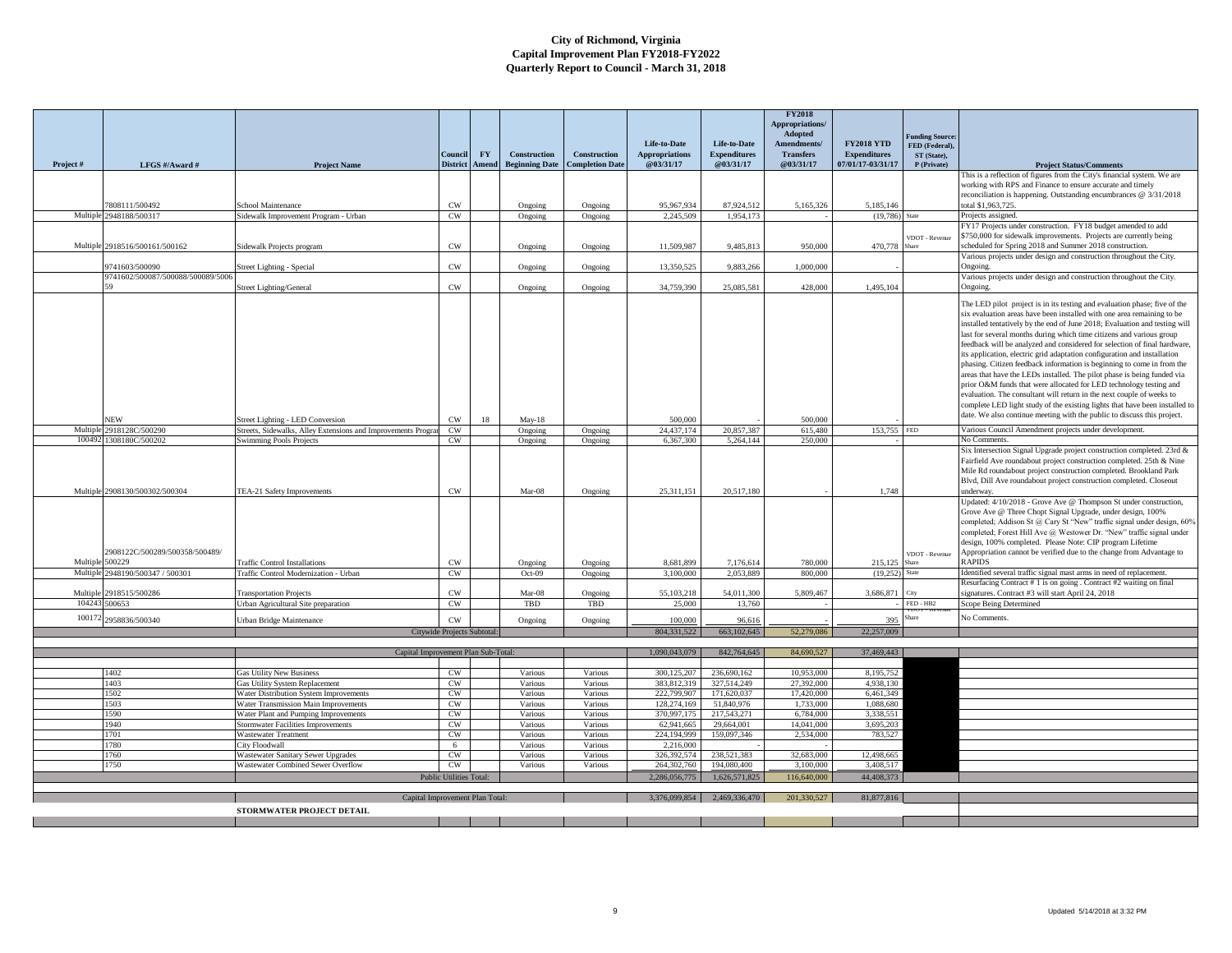|          |                                   |                                                                                 |                             |                    |                                       |                                        | Life-to-Date                       | Life-to-Date                     | <b>FY2018</b><br>Appropriations/<br>Adopted<br>Amendments/ | <b>FY2018 YTD</b>                        | 'unding Source:<br>FED (Federal). |                                                                                                                                                      |
|----------|-----------------------------------|---------------------------------------------------------------------------------|-----------------------------|--------------------|---------------------------------------|----------------------------------------|------------------------------------|----------------------------------|------------------------------------------------------------|------------------------------------------|-----------------------------------|------------------------------------------------------------------------------------------------------------------------------------------------------|
| Project# | LFGS #/Award #                    | <b>Project Name</b>                                                             | Council<br><b>District</b>  | <b>FY</b><br>Amend | Construction<br><b>Beginning Date</b> | Construction<br><b>Completion Date</b> | <b>Appropriations</b><br>@03/31/17 | <b>Expenditures</b><br>@03/31/17 | <b>Transfers</b><br>@03/31/17                              | <b>Expenditures</b><br>07/01/17-03/31/17 | ST (State),<br>P (Private)        | <b>Project Status/Comments</b>                                                                                                                       |
|          |                                   |                                                                                 |                             |                    |                                       |                                        |                                    |                                  |                                                            |                                          |                                   | This is a reflection of figures from the City's financial system. We are                                                                             |
|          |                                   |                                                                                 |                             |                    |                                       |                                        |                                    |                                  |                                                            |                                          |                                   | working with RPS and Finance to ensure accurate and timely<br>reconciliation is happening. Outstanding encumbrances @ 3/31/2018                      |
|          | 808111/500492                     | chool Maintenance                                                               | <b>CW</b>                   |                    | Ongoing                               | Ongoing                                | 95.967.934                         | 87,924,512                       | 5,165,326                                                  | 5,185,146                                |                                   | total \$1,963,725.                                                                                                                                   |
| Multiple | 2948188/500317                    | Sidewalk Improvement Program - Urban                                            | CW                          |                    | Ongoing                               | Ongoing                                | 2,245,509                          | 1.954.173                        |                                                            | (19.786)                                 | State                             | Projects assigned.<br>FY17 Projects under construction. FY18 budget amended to add                                                                   |
|          |                                   |                                                                                 |                             |                    |                                       |                                        |                                    |                                  |                                                            |                                          | VDOT - Revenue                    | \$750,000 for sidewalk improvements. Projects are currently being                                                                                    |
|          | Multiple 2918516/500161/500162    | Sidewalk Projects program                                                       | CW                          |                    | Ongoing                               | Ongoing                                | 11.509.987                         | 9.485.813                        | 950,000                                                    | 470,778                                  |                                   | scheduled for Spring 2018 and Summer 2018 construction.                                                                                              |
|          | 9741603/500090                    | Street Lighting - Special                                                       | $\text{cw}$                 |                    | Ongoing                               | Ongoing                                | 13,350,525                         | 9,883,266                        | 1,000,000                                                  |                                          |                                   | Various projects under design and construction throughout the City.<br>Ongoing.                                                                      |
|          | 9741602/500087/500088/500089/5006 |                                                                                 |                             |                    |                                       |                                        |                                    |                                  |                                                            |                                          |                                   | Various projects under design and construction throughout the City.                                                                                  |
|          |                                   | <b>Street Lighting/General</b>                                                  | $\mathrm{cw}$               |                    | Ongoing                               | Ongoing                                | 34,759,390                         | 25,085,581                       | 428,000                                                    | 1,495,104                                |                                   | Ongoing.                                                                                                                                             |
|          |                                   |                                                                                 |                             |                    |                                       |                                        |                                    |                                  |                                                            |                                          |                                   | The LED pilot project is in its testing and evaluation phase; five of the                                                                            |
|          |                                   |                                                                                 |                             |                    |                                       |                                        |                                    |                                  |                                                            |                                          |                                   | six evaluation areas have been installed with one area remaining to be<br>installed tentatively by the end of June 2018; Evaluation and testing will |
|          |                                   |                                                                                 |                             |                    |                                       |                                        |                                    |                                  |                                                            |                                          |                                   | last for several months during which time citizens and various group                                                                                 |
|          |                                   |                                                                                 |                             |                    |                                       |                                        |                                    |                                  |                                                            |                                          |                                   | feedback will be analyzed and considered for selection of final hardware,                                                                            |
|          |                                   |                                                                                 |                             |                    |                                       |                                        |                                    |                                  |                                                            |                                          |                                   | its application, electric grid adaptation configuration and installation                                                                             |
|          |                                   |                                                                                 |                             |                    |                                       |                                        |                                    |                                  |                                                            |                                          |                                   | phasing. Citizen feedback information is beginning to come in from the                                                                               |
|          |                                   |                                                                                 |                             |                    |                                       |                                        |                                    |                                  |                                                            |                                          |                                   | areas that have the LEDs installed. The pilot phase is being funded via<br>prior O&M funds that were allocated for LED technology testing and        |
|          |                                   |                                                                                 |                             |                    |                                       |                                        |                                    |                                  |                                                            |                                          |                                   | evaluation. The consultant will return in the next couple of weeks to                                                                                |
|          |                                   |                                                                                 |                             |                    |                                       |                                        |                                    |                                  |                                                            |                                          |                                   | complete LED light study of the existing lights that have been installed to                                                                          |
|          | <b>JEW</b>                        | Street Lighting - LED Conversion                                                | CW                          | 18                 | $May-18$                              |                                        | 500.000                            |                                  | 500,000                                                    |                                          |                                   | date. We also continue meeting with the public to discuss this project.                                                                              |
| Multiple | 2918128C/500290                   | Streets, Sidewalks, Alley Extensions and Improvements Program                   | CW                          |                    | Ongoing                               | Ongoing                                | 24,437,174                         | 20,857,387                       | 615,480                                                    | 153,755                                  | <b>FED</b>                        | Various Council Amendment projects under development.                                                                                                |
|          | 100492 1308180C/500202            | <b>Swimming Pools Projects</b>                                                  | <b>CW</b>                   |                    | Ongoing                               | Ongoing                                | 6,367,300                          | 5.264.144                        | 250,000                                                    |                                          |                                   | No Comments.<br>Six Intersection Signal Upgrade project construction completed. 23rd &                                                               |
|          |                                   |                                                                                 |                             |                    |                                       |                                        |                                    |                                  |                                                            |                                          |                                   | Fairfield Ave roundabout project construction completed. 25th & Nine                                                                                 |
|          |                                   |                                                                                 |                             |                    |                                       |                                        |                                    |                                  |                                                            |                                          |                                   | Mile Rd roundabout project construction completed. Brookland Park                                                                                    |
|          |                                   |                                                                                 |                             |                    |                                       |                                        |                                    |                                  |                                                            |                                          |                                   | Blvd, Dill Ave roundabout project construction completed. Closeout                                                                                   |
|          | Multiple 2908130/500302/500304    | TEA-21 Safety Improvements                                                      | $\text{cw}$                 |                    | Mar-08                                | Ongoing                                | 25,311,151                         | 20,517,180                       |                                                            | 1,748                                    |                                   | underway.<br>Updated: 4/10/2018 - Grove Ave @ Thompson St under construction,                                                                        |
|          |                                   |                                                                                 |                             |                    |                                       |                                        |                                    |                                  |                                                            |                                          |                                   | Grove Ave @ Three Chopt Signal Upgrade, under design, 100%                                                                                           |
|          |                                   |                                                                                 |                             |                    |                                       |                                        |                                    |                                  |                                                            |                                          |                                   | completed; Addison St @ Cary St "New" traffic signal under design, 60%                                                                               |
|          |                                   |                                                                                 |                             |                    |                                       |                                        |                                    |                                  |                                                            |                                          |                                   | completed; Forest Hill Ave @ Westower Dr. "New" traffic signal under<br>design, 100% completed. Please Note: CIP program Lifetime                    |
|          | 2908122C/500289/500358/500489/    |                                                                                 |                             |                    |                                       |                                        |                                    |                                  |                                                            |                                          | VDOT - Revenue                    | Appropriation cannot be verified due to the change from Advantage to                                                                                 |
| Multipl  | 500229                            | <b>Traffic Control Installations</b>                                            | CW                          |                    | Ongoing                               | Ongoing                                | 8.681.899                          | 7,176,614                        | 780,000                                                    | 215,125                                  | hare                              | <b>RAPIDS</b>                                                                                                                                        |
| Multipl  | 2948190/500347 / 500301           | Traffic Control Modernization - Urban                                           | CW                          |                    | $Oct-09$                              | Ongoing                                | 3,100,000                          | 2.053.889                        | 800,000                                                    | (19,252)                                 | <b>State</b>                      | Identified several traffic signal mast arms in need of replacement.                                                                                  |
| Multiple | 2918515/500286                    | <b>Transportation Projects</b>                                                  | $\text{cw}$                 |                    | Mar-08                                | Ongoing                                | 55,103,218                         | 54,011,300                       | 5,809,467                                                  | 3,686,871                                | City                              | Resurfacing Contract # 1 is on going . Contract #2 waiting on final<br>signatures. Contract #3 will start April 24, 2018                             |
|          | 104243 500653                     | Urban Agricultural Site preparation                                             | CW                          |                    | TBD                                   | TBD                                    | 25,000                             | 13,760                           |                                                            |                                          | $FED - HB2$                       | Scope Being Determined                                                                                                                               |
|          | 100172 2958836/500340             | Urban Bridge Maintenance                                                        | CW                          |                    | Ongoing                               | Ongoing                                | 100,000                            | 96,616                           |                                                            | 395                                      | <b>Share</b>                      | No Comments.                                                                                                                                         |
|          |                                   |                                                                                 | Citywide Projects Subtotal: |                    |                                       |                                        | 804.331.522                        | 663,102,645                      | 52,279,086                                                 | 22,257,009                               |                                   |                                                                                                                                                      |
|          |                                   |                                                                                 |                             |                    |                                       |                                        |                                    |                                  |                                                            |                                          |                                   |                                                                                                                                                      |
|          |                                   | Capital Improvement Plan Sub-Total:                                             |                             |                    |                                       |                                        | 1.090.043.079                      | 842,764,645                      | 84,690,527                                                 | 37,469,443                               |                                   |                                                                                                                                                      |
|          | 1402                              | <b>Gas Utility New Business</b>                                                 | CW                          |                    | Various                               | Various                                | 300,125,207                        | 236,690.162                      | 10,953,000                                                 | 8.195.752                                |                                   |                                                                                                                                                      |
|          | 1403                              | Gas Utility System Replacement                                                  | $\mathrm{CW}$               |                    | Various                               | Various                                | 383,812,319                        | 327,514,249                      | 27,392,000                                                 | 4.938.130                                |                                   |                                                                                                                                                      |
|          | 1502                              | Water Distribution System Improvements                                          | CW                          |                    | Various                               | Various                                | 222,799,907                        | 171,620,037                      | 17,420,000                                                 | 6.461.349                                |                                   |                                                                                                                                                      |
|          | 1503<br>1590                      | Water Transmission Main Improvements<br>Water Plant and Pumping Improvements    | CW<br>CW                    |                    | Various<br>Various                    | Various<br>Various                     | 128,274,169<br>370,997,175         | 51,840,976<br>217.543.271        | 1,733,000<br>6,784,000                                     | 1.088.680<br>3.338.551                   |                                   |                                                                                                                                                      |
|          | 1940                              | <b>Stormwater Facilities Improvements</b>                                       | CW                          |                    | Various                               | Various                                | 62,941,665                         | 29,664,001                       | 14,041,000                                                 | 3,695,203                                |                                   |                                                                                                                                                      |
|          | 1701                              | <b>Wastewater Treatment</b>                                                     | CW                          |                    | Various                               | Various                                | 224.194.999                        | 159,097,346                      | 2,534,000                                                  | 783,527                                  |                                   |                                                                                                                                                      |
|          | 1780                              | City Floodwall                                                                  | 6                           |                    | Various                               | Various                                | 2,216,000                          |                                  |                                                            |                                          |                                   |                                                                                                                                                      |
|          | 1760<br>1750                      | <b>Wastewater Sanitary Sewer Upgrades</b><br>Wastewater Combined Sewer Overflow | CW<br>CW                    |                    | Various<br>Various                    | Various<br>Various                     | 326,392,574<br>264,302,760         | 238,521,383<br>194,080,400       | 32,683,000<br>3,100,000                                    | 12,498,665<br>3,408,517                  |                                   |                                                                                                                                                      |
|          |                                   |                                                                                 | Public Utilities Total:     |                    |                                       |                                        | 2.286,056,775                      | 1.626.571.825                    | 116,640,000                                                | 44,408,373                               |                                   |                                                                                                                                                      |
|          |                                   |                                                                                 |                             |                    |                                       |                                        |                                    |                                  |                                                            |                                          |                                   |                                                                                                                                                      |
|          |                                   | Capital Improvement Plan Total                                                  |                             |                    |                                       |                                        | 3.376.099.854                      | 2.469.336.470                    | 201.330.527                                                | 81,877,816                               |                                   |                                                                                                                                                      |
|          |                                   | STORMWATER PROJECT DETAIL                                                       |                             |                    |                                       |                                        |                                    |                                  |                                                            |                                          |                                   |                                                                                                                                                      |
|          |                                   |                                                                                 |                             |                    |                                       |                                        |                                    |                                  |                                                            |                                          |                                   |                                                                                                                                                      |